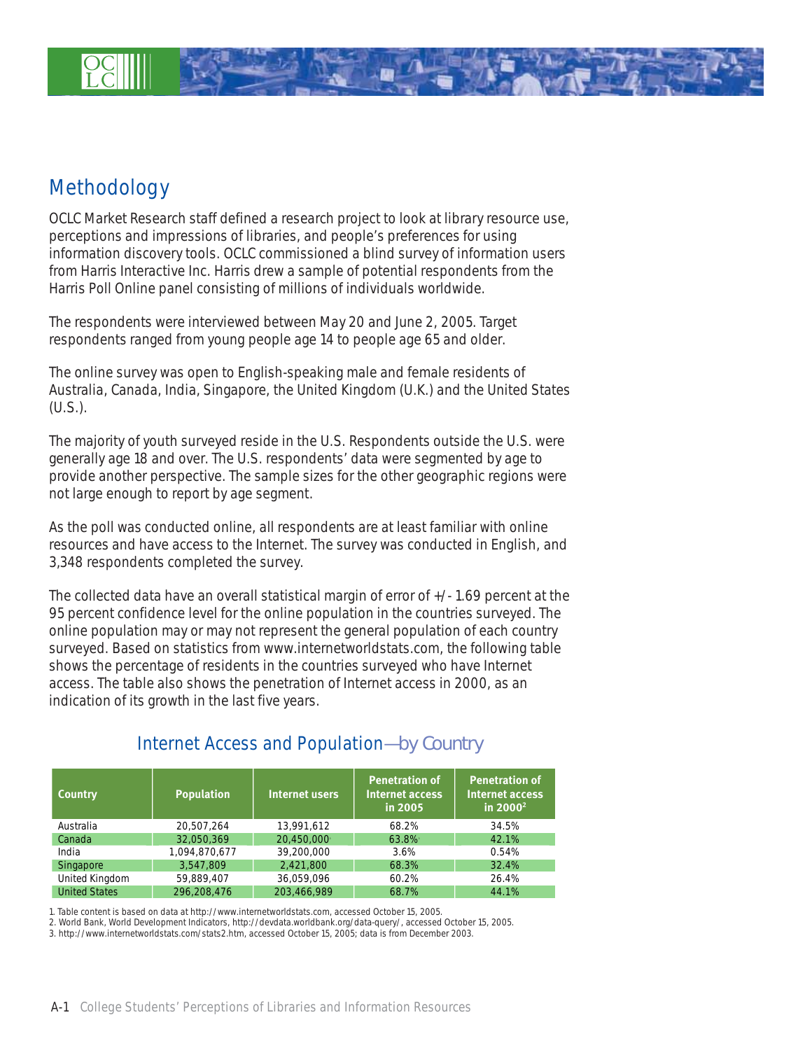

# **Methodology**

OCLC Market Research staff defined a research project to look at library resource use, perceptions and impressions of libraries, and people's preferences for using information discovery tools. OCLC commissioned a blind survey of information users from Harris Interactive Inc. Harris drew a sample of potential respondents from the Harris Poll Online panel consisting of millions of individuals worldwide.

The respondents were interviewed between May 20 and June 2, 2005. Target respondents ranged from young people age 14 to people age 65 and older.

The online survey was open to English-speaking male and female residents of Australia, Canada, India, Singapore, the United Kingdom (U.K.) and the United States (U.S.).

The majority of youth surveyed reside in the U.S. Respondents outside the U.S. were generally age 18 and over. The U.S. respondents' data were segmented by age to provide another perspective. The sample sizes for the other geographic regions were not large enough to report by age segment.

As the poll was conducted online, all respondents are at least familiar with online resources and have access to the Internet. The survey was conducted in English, and 3,348 respondents completed the survey.

The collected data have an overall statistical margin of error of +/- 1.69 percent at the 95 percent confidence level for the online population in the countries surveyed. The online population may or may not represent the general population of each country surveyed. Based on statistics from www.internetworldstats.com, the following table shows the percentage of residents in the countries surveyed who have Internet access. The table also shows the penetration of Internet access in 2000, as an indication of its growth in the last five years.

| <b>Country</b>       | <b>Population</b> | <b>Internet users</b> | <b>Penetration of</b><br><b>Internet access</b><br>in 2005 | <b>Penetration of</b><br><b>Internet access</b><br>in $2000^2$ |
|----------------------|-------------------|-----------------------|------------------------------------------------------------|----------------------------------------------------------------|
| Australia            | 20.507.264        | 13.991.612            | 68.2%                                                      | 34.5%                                                          |
| Canada               | 32.050.369        | 20,450,000            | 63.8%                                                      | 42.1%                                                          |
| India                | 1,094,870,677     | 39.200.000            | 3.6%                                                       | 0.54%                                                          |
| <b>Singapore</b>     | 3.547.809         | 2,421,800             | 68.3%                                                      | 32.4%                                                          |
| United Kingdom       | 59.889.407        | 36.059.096            | 60.2%                                                      | 26.4%                                                          |
| <b>United States</b> | 296.208.476       | 203.466.989           | 68.7%                                                      | 44.1%                                                          |

#### **Internet Access and Population***—by Country*

1. Table content is based on data at http://www.internetworldstats.com, accessed October 15, 2005.

2. World Bank, World Development Indicators, http://devdata.worldbank.org/data-query/, accessed October 15, 2005.

3. http://www.internetworldstats.com/stats2.htm, accessed October 15, 2005; data is from December 2003.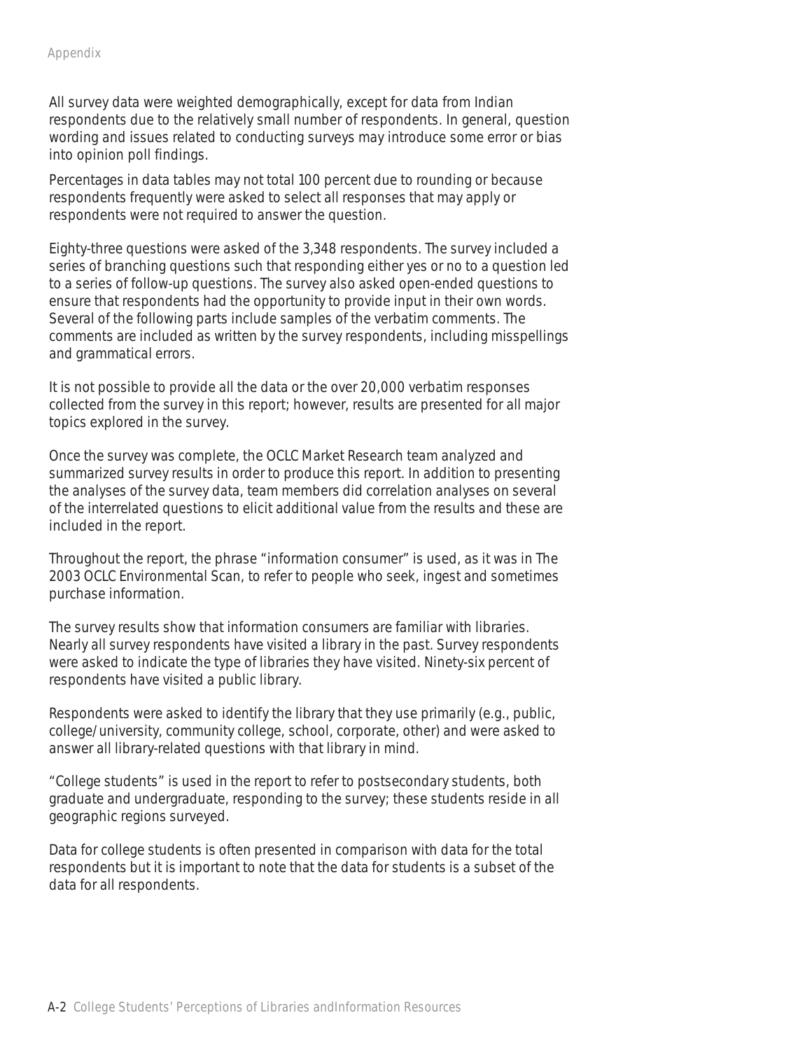All survey data were weighted demographically, except for data from Indian respondents due to the relatively small number of respondents. In general, question wording and issues related to conducting surveys may introduce some error or bias into opinion poll findings.

Percentages in data tables may not total 100 percent due to rounding or because respondents frequently were asked to select all responses that may apply or respondents were not required to answer the question.

Eighty-three questions were asked of the 3,348 respondents. The survey included a series of branching questions such that responding either yes or no to a question led to a series of follow-up questions. The survey also asked open-ended questions to ensure that respondents had the opportunity to provide input in their own words. Several of the following parts include samples of the verbatim comments. The comments are included as written by the survey respondents, including misspellings and grammatical errors.

It is not possible to provide all the data or the over 20,000 verbatim responses collected from the survey in this report; however, results are presented for all major topics explored in the survey.

Once the survey was complete, the OCLC Market Research team analyzed and summarized survey results in order to produce this report. In addition to presenting the analyses of the survey data, team members did correlation analyses on several of the interrelated questions to elicit additional value from the results and these are included in the report.

Throughout the report, the phrase "information consumer" is used, as it was in *The 2003 OCLC Environmental Scan,* to refer to people who seek, ingest and sometimes purchase information.

The survey results show that information consumers are familiar with libraries. Nearly all survey respondents have visited a library in the past. Survey respondents were asked to indicate the type of libraries they have visited. Ninety-six percent of respondents have visited a public library.

Respondents were asked to identify the library that they use primarily (e.g., public, college/university, community college, school, corporate, other) and were asked to answer all library-related questions with that library in mind.

"College students" is used in the report to refer to postsecondary students, both graduate and undergraduate, responding to the survey; these students reside in all geographic regions surveyed.

Data for college students is often presented in comparison with data for the total respondents but it is important to note that the data for students is a subset of the data for all respondents.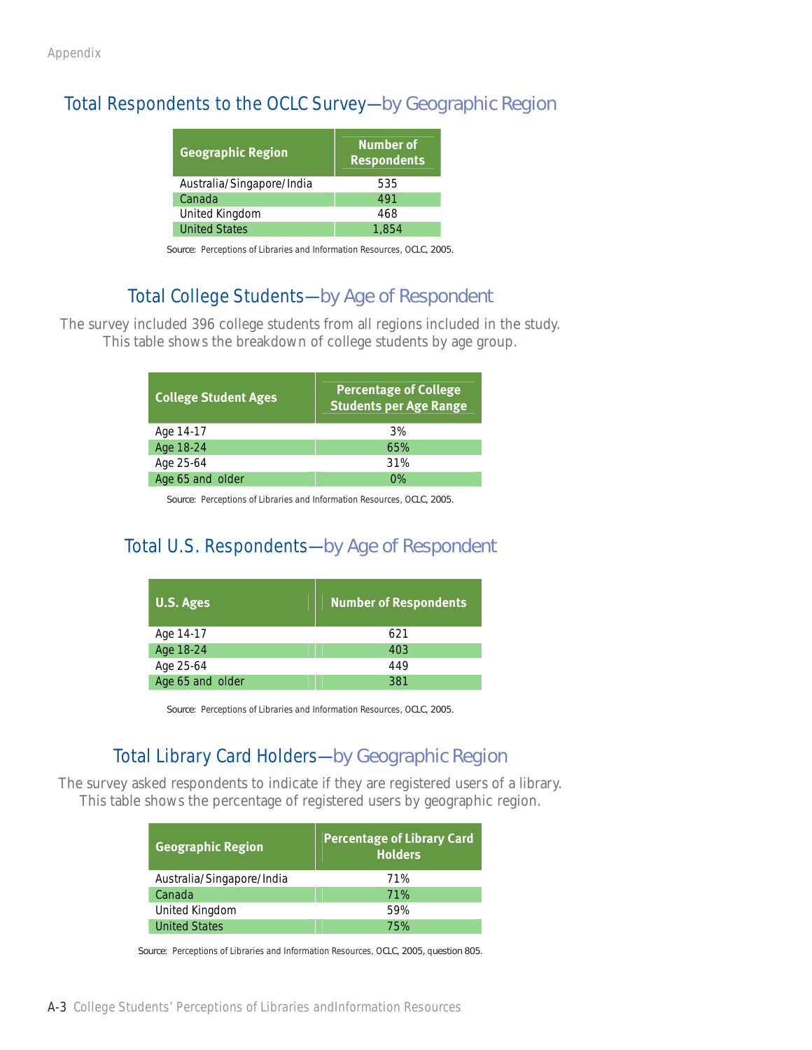#### **Total Respondents to the OCLC Survey—***by Geographic Region*

| <b>Geographic Region</b>  | Number of<br><b>Respondents</b> |
|---------------------------|---------------------------------|
| Australia/Singapore/India | 535                             |
| Canada                    | 491                             |
| <b>United Kingdom</b>     | 468                             |
| <b>United States</b>      | 1.854                           |

Source: *Perceptions of Libraries and Information Resources,* OCLC, 2005.

### **Total College Students—***by Age of Respondent*

The survey included 396 college students from all regions included in the study. This table shows the breakdown of college students by age group.

| <b>College Student Ages</b> | <b>Percentage of College</b><br><b>Students per Age Range</b> |
|-----------------------------|---------------------------------------------------------------|
| Age 14-17                   | 3%                                                            |
| Age 18-24                   | 65%                                                           |
| Age 25-64                   | 31%                                                           |
| Age 65 and older            | $0\%$                                                         |

Source: *Perceptions of Libraries and Information Resources,* OCLC, 2005.

#### **Total U.S. Respondents—***by Age of Respondent*

| U.S. Ages        | <b>Number of Respondents</b> |
|------------------|------------------------------|
| Age 14-17        | 621                          |
| Age 18-24        | 403                          |
| Age 25-64        | 449                          |
| Age 65 and older | 381                          |

Source: *Perceptions of Libraries and Information Resources,* OCLC, 2005.

### **Total Library Card Holders—***by Geographic Region*

The survey asked respondents to indicate if they are registered users of a library. This table shows the percentage of registered users by geographic region.

| <b>Geographic Region</b>  | <b>Percentage of Library Card</b><br><b>Holders</b> |  |  |
|---------------------------|-----------------------------------------------------|--|--|
| Australia/Singapore/India | 71%                                                 |  |  |
| Canada                    | 71%                                                 |  |  |
| <b>United Kingdom</b>     | 59%                                                 |  |  |
| <b>United States</b>      | 75%                                                 |  |  |

Source: *Perceptions of Libraries and Information Resources,* OCLC, 2005, question 805.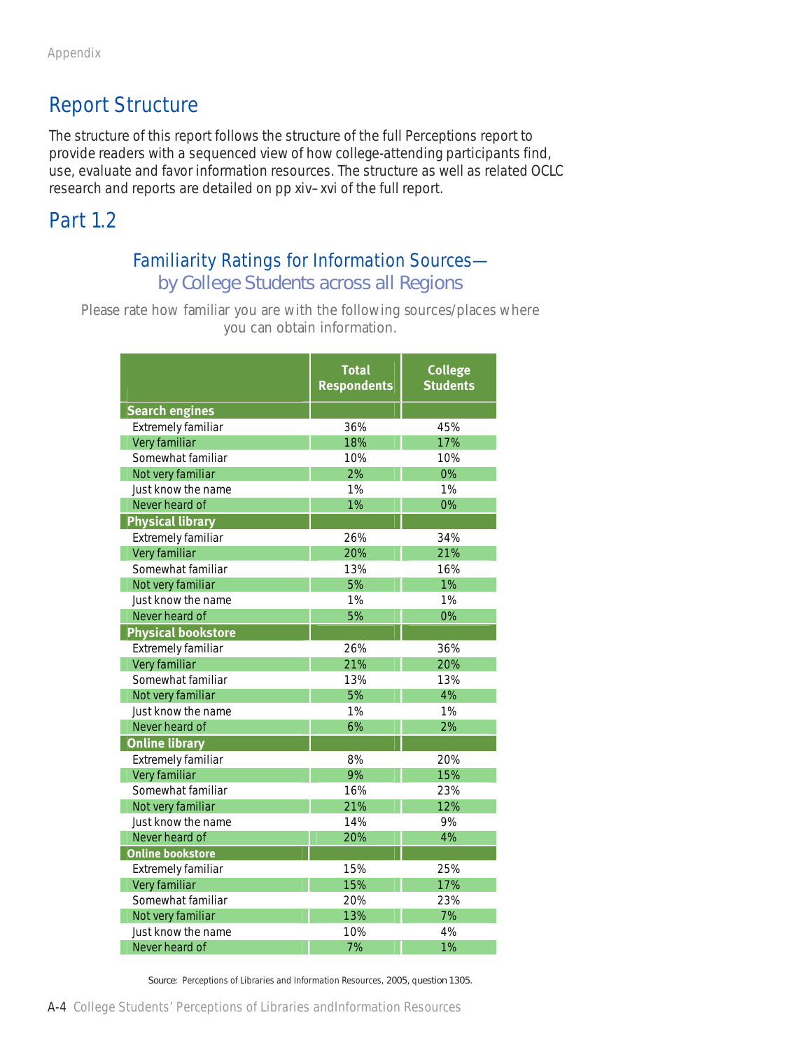# **Report Structure**

The structure of this report follows the structure of the full *Perceptions* report to provide readers with a sequenced view of how college-attending participants find, use, evaluate and favor information resources. The structure as well as related OCLC research and reports are detailed on pp xiv–xvi of the full report.

# **Part 1.2**

#### **Familiarity Ratings for Information Sources—**

*by College Students across all Regions*

Please rate how familiar you are with the following sources/places where you can obtain information.

|                           | <b>Total</b><br><b>Respondents</b> | <b>College</b><br><b>Students</b> |
|---------------------------|------------------------------------|-----------------------------------|
| <b>Search engines</b>     |                                    |                                   |
| <b>Extremely familiar</b> | 36%                                | 45%                               |
| Very familiar             | 18%                                | 17%                               |
| Somewhat familiar         | 10%                                | 10%                               |
| Not very familiar         | 2%                                 | 0%                                |
| Just know the name        | 1%                                 | 1%                                |
| Never heard of            | 1%                                 | 0%                                |
| <b>Physical library</b>   |                                    |                                   |
| <b>Extremely familiar</b> | 26%                                | 34%                               |
| Very familiar             | 20%                                | 21%                               |
| Somewhat familiar         | 13%                                | 16%                               |
| Not very familiar         | 5%                                 | 1%                                |
| Just know the name        | 1%                                 | 1%                                |
| Never heard of            | 5%                                 | 0%                                |
| <b>Physical bookstore</b> |                                    |                                   |
| <b>Extremely familiar</b> | 26%                                | 36%                               |
| Very familiar             | 21%                                | 20%                               |
| Somewhat familiar         | 13%                                | 13%                               |
| Not very familiar         | 5%                                 | 4%                                |
| Just know the name        | 1%                                 | 1%                                |
| Never heard of            | 6%                                 | 2%                                |
| <b>Online library</b>     |                                    |                                   |
| <b>Extremely familiar</b> | 8%                                 | 20%                               |
| Very familiar             | 9%                                 | 15%                               |
| Somewhat familiar         | 16%                                | 23%                               |
| Not very familiar         | 21%                                | 12%                               |
| Just know the name        | 14%                                | 9%                                |
| Never heard of            | 20%                                | 4%                                |
| <b>Online bookstore</b>   |                                    |                                   |
| <b>Extremely familiar</b> | 15%                                | 25%                               |
| Very familiar             | 15%                                | 17%                               |
| Somewhat familiar         | 20%                                | 23%                               |
| Not very familiar         | 13%                                | 7%                                |
| Just know the name        | 10%                                | 4%                                |
| Never heard of            | 7%                                 | 1%                                |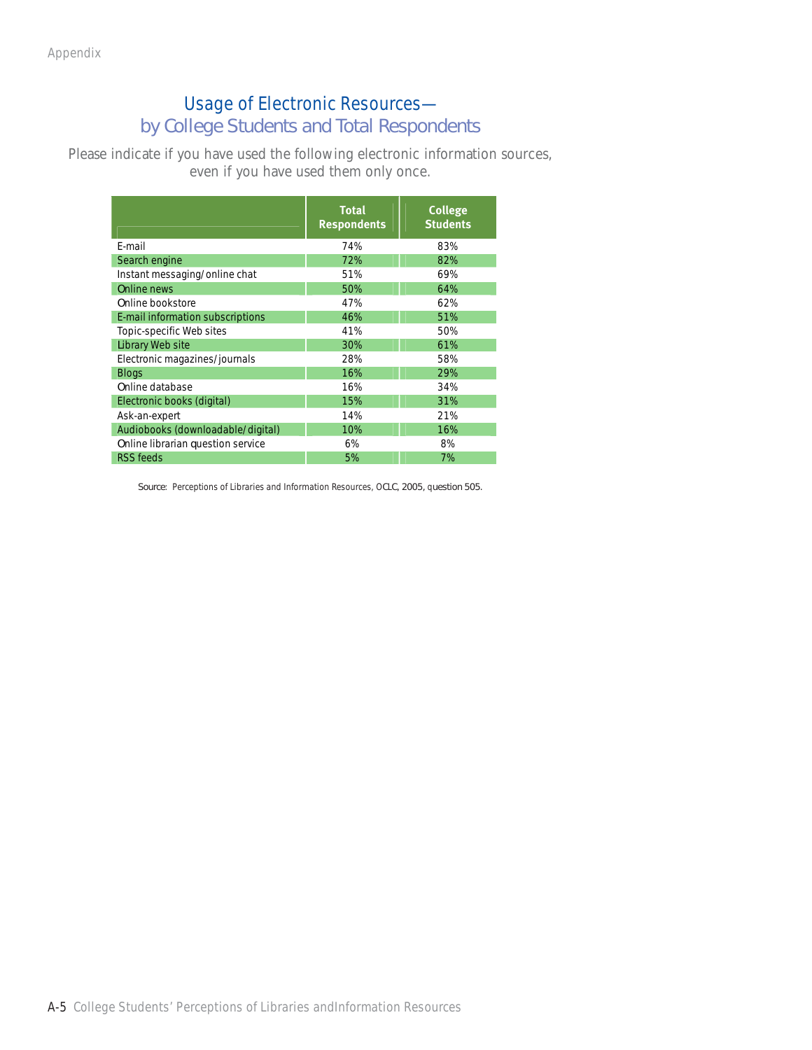#### **Usage of Electronic Resources—**

## *by College Students and Total Respondents*

#### Please indicate if you have used the following electronic information sources, even if you have used them only once.

|                                   | <b>Total</b><br><b>Respondents</b> | <b>College</b><br><b>Students</b> |
|-----------------------------------|------------------------------------|-----------------------------------|
| E-mail                            | 74%                                | 83%                               |
| Search engine                     | 72%                                | 82%                               |
| Instant messaging/online chat     | 51%                                | 69%                               |
| Online news                       | 50%                                | 64%                               |
| Online bookstore                  | 47%                                | 62%                               |
| E-mail information subscriptions  | 46%                                | 51%                               |
| Topic-specific Web sites          | 41%                                | 50%                               |
| Library Web site                  | 30%                                | 61%                               |
| Electronic magazines/journals     | 28%                                | 58%                               |
| <b>Blogs</b>                      | 16%                                | 29%                               |
| Online database                   | 16%                                | 34%                               |
| Electronic books (digital)        | 15%                                | 31%                               |
| Ask-an-expert                     | 14%                                | 21%                               |
| Audiobooks (downloadable/digital) | 10%                                | 16%                               |
| Online librarian question service | 6%                                 | 8%                                |
| <b>RSS</b> feeds                  | 5%                                 | 7%                                |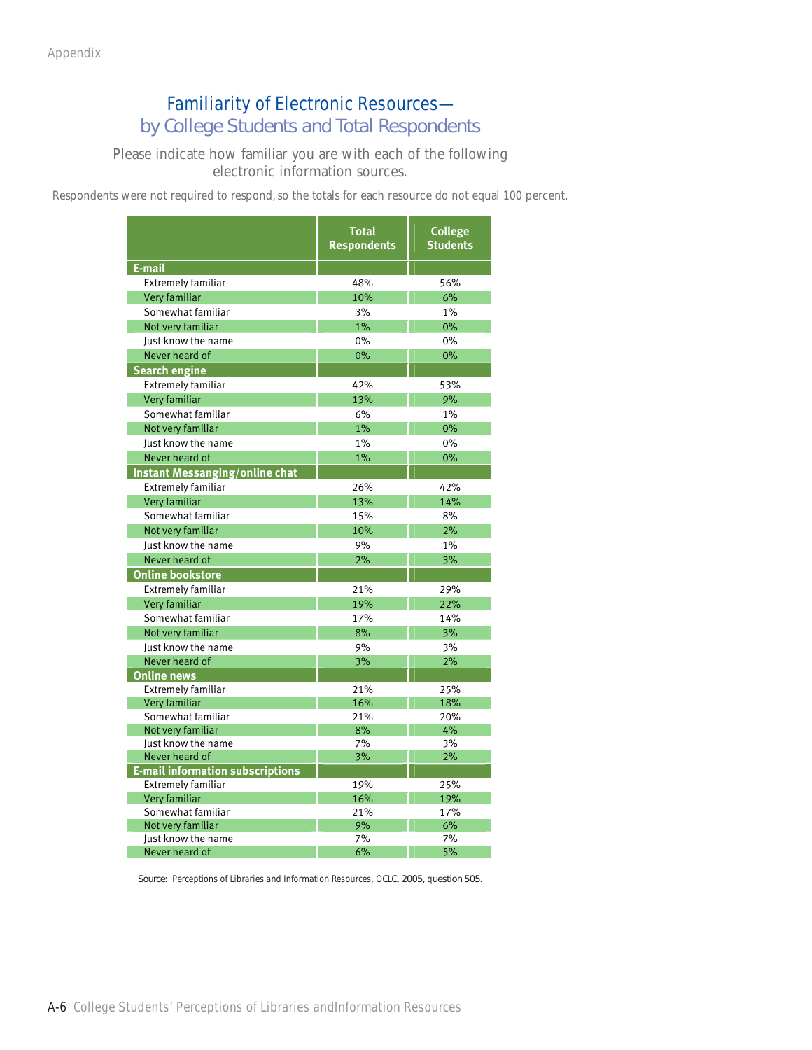#### **Familiarity of Electronic Resources—**

## *by College Students and Total Respondents*

#### Please indicate how familiar you are with each of the following electronic information sources.

Respondents were not required to respond, so the totals for each resource do not equal 100 percent.

| E-mail<br><b>Extremely familiar</b><br>56%<br>48%<br>10%<br>6%<br>Very familiar<br>Somewhat familiar<br>3%<br>$1\%$<br>Not very familiar<br>$1\%$<br>0%<br>0%<br>0%<br>Just know the name<br>0%<br>Never heard of<br>0%<br><b>Search engine</b><br><b>Extremely familiar</b><br>42%<br>53%<br>13%<br>9%<br>Very familiar<br>Somewhat familiar<br>6%<br>1%<br>Not very familiar<br>$1\%$<br>0%<br>$1\%$<br>0%<br>lust know the name<br>Never heard of<br>1%<br>0%<br>Instant Messanging/online chat<br>26%<br>42%<br><b>Extremely familiar</b><br>Very familiar<br>13%<br>14%<br>Somewhat familiar<br>15%<br>8%<br>Not very familiar<br>10%<br>2%<br>9%<br>$1\%$<br>lust know the name<br>Never heard of<br>2%<br>3%<br><b>Online bookstore</b><br>21%<br>29%<br><b>Extremely familiar</b><br>19%<br>22%<br>Very familiar<br>Somewhat familiar<br>17%<br>14%<br>Not very familiar<br>8%<br>3%<br>lust know the name<br>9%<br>3%<br>Never heard of<br>3%<br>2%<br><b>Online news</b><br><b>Extremely familiar</b><br>21%<br>25%<br>Very familiar<br>16%<br>18%<br>Somewhat familiar<br>21%<br>20%<br>Not very familiar<br>8%<br>4%<br>lust know the name<br>7%<br>3%<br>3%<br>Never heard of<br>2%<br><b>E-mail information subscriptions</b><br><b>Extremely familiar</b><br>19%<br>25%<br>Very familiar<br>16%<br>19%<br>Somewhat familiar<br>21%<br>17%<br>Not very familiar<br>9%<br>6% | <b>Total</b><br><b>Respondents</b> | <b>College</b><br><b>Students</b> |
|-------------------------------------------------------------------------------------------------------------------------------------------------------------------------------------------------------------------------------------------------------------------------------------------------------------------------------------------------------------------------------------------------------------------------------------------------------------------------------------------------------------------------------------------------------------------------------------------------------------------------------------------------------------------------------------------------------------------------------------------------------------------------------------------------------------------------------------------------------------------------------------------------------------------------------------------------------------------------------------------------------------------------------------------------------------------------------------------------------------------------------------------------------------------------------------------------------------------------------------------------------------------------------------------------------------------------------------------------------------------------------------------|------------------------------------|-----------------------------------|
|                                                                                                                                                                                                                                                                                                                                                                                                                                                                                                                                                                                                                                                                                                                                                                                                                                                                                                                                                                                                                                                                                                                                                                                                                                                                                                                                                                                           |                                    |                                   |
|                                                                                                                                                                                                                                                                                                                                                                                                                                                                                                                                                                                                                                                                                                                                                                                                                                                                                                                                                                                                                                                                                                                                                                                                                                                                                                                                                                                           |                                    |                                   |
|                                                                                                                                                                                                                                                                                                                                                                                                                                                                                                                                                                                                                                                                                                                                                                                                                                                                                                                                                                                                                                                                                                                                                                                                                                                                                                                                                                                           |                                    |                                   |
|                                                                                                                                                                                                                                                                                                                                                                                                                                                                                                                                                                                                                                                                                                                                                                                                                                                                                                                                                                                                                                                                                                                                                                                                                                                                                                                                                                                           |                                    |                                   |
|                                                                                                                                                                                                                                                                                                                                                                                                                                                                                                                                                                                                                                                                                                                                                                                                                                                                                                                                                                                                                                                                                                                                                                                                                                                                                                                                                                                           |                                    |                                   |
|                                                                                                                                                                                                                                                                                                                                                                                                                                                                                                                                                                                                                                                                                                                                                                                                                                                                                                                                                                                                                                                                                                                                                                                                                                                                                                                                                                                           |                                    |                                   |
|                                                                                                                                                                                                                                                                                                                                                                                                                                                                                                                                                                                                                                                                                                                                                                                                                                                                                                                                                                                                                                                                                                                                                                                                                                                                                                                                                                                           |                                    |                                   |
|                                                                                                                                                                                                                                                                                                                                                                                                                                                                                                                                                                                                                                                                                                                                                                                                                                                                                                                                                                                                                                                                                                                                                                                                                                                                                                                                                                                           |                                    |                                   |
|                                                                                                                                                                                                                                                                                                                                                                                                                                                                                                                                                                                                                                                                                                                                                                                                                                                                                                                                                                                                                                                                                                                                                                                                                                                                                                                                                                                           |                                    |                                   |
|                                                                                                                                                                                                                                                                                                                                                                                                                                                                                                                                                                                                                                                                                                                                                                                                                                                                                                                                                                                                                                                                                                                                                                                                                                                                                                                                                                                           |                                    |                                   |
|                                                                                                                                                                                                                                                                                                                                                                                                                                                                                                                                                                                                                                                                                                                                                                                                                                                                                                                                                                                                                                                                                                                                                                                                                                                                                                                                                                                           |                                    |                                   |
|                                                                                                                                                                                                                                                                                                                                                                                                                                                                                                                                                                                                                                                                                                                                                                                                                                                                                                                                                                                                                                                                                                                                                                                                                                                                                                                                                                                           |                                    |                                   |
|                                                                                                                                                                                                                                                                                                                                                                                                                                                                                                                                                                                                                                                                                                                                                                                                                                                                                                                                                                                                                                                                                                                                                                                                                                                                                                                                                                                           |                                    |                                   |
|                                                                                                                                                                                                                                                                                                                                                                                                                                                                                                                                                                                                                                                                                                                                                                                                                                                                                                                                                                                                                                                                                                                                                                                                                                                                                                                                                                                           |                                    |                                   |
|                                                                                                                                                                                                                                                                                                                                                                                                                                                                                                                                                                                                                                                                                                                                                                                                                                                                                                                                                                                                                                                                                                                                                                                                                                                                                                                                                                                           |                                    |                                   |
|                                                                                                                                                                                                                                                                                                                                                                                                                                                                                                                                                                                                                                                                                                                                                                                                                                                                                                                                                                                                                                                                                                                                                                                                                                                                                                                                                                                           |                                    |                                   |
|                                                                                                                                                                                                                                                                                                                                                                                                                                                                                                                                                                                                                                                                                                                                                                                                                                                                                                                                                                                                                                                                                                                                                                                                                                                                                                                                                                                           |                                    |                                   |
|                                                                                                                                                                                                                                                                                                                                                                                                                                                                                                                                                                                                                                                                                                                                                                                                                                                                                                                                                                                                                                                                                                                                                                                                                                                                                                                                                                                           |                                    |                                   |
|                                                                                                                                                                                                                                                                                                                                                                                                                                                                                                                                                                                                                                                                                                                                                                                                                                                                                                                                                                                                                                                                                                                                                                                                                                                                                                                                                                                           |                                    |                                   |
|                                                                                                                                                                                                                                                                                                                                                                                                                                                                                                                                                                                                                                                                                                                                                                                                                                                                                                                                                                                                                                                                                                                                                                                                                                                                                                                                                                                           |                                    |                                   |
|                                                                                                                                                                                                                                                                                                                                                                                                                                                                                                                                                                                                                                                                                                                                                                                                                                                                                                                                                                                                                                                                                                                                                                                                                                                                                                                                                                                           |                                    |                                   |
|                                                                                                                                                                                                                                                                                                                                                                                                                                                                                                                                                                                                                                                                                                                                                                                                                                                                                                                                                                                                                                                                                                                                                                                                                                                                                                                                                                                           |                                    |                                   |
|                                                                                                                                                                                                                                                                                                                                                                                                                                                                                                                                                                                                                                                                                                                                                                                                                                                                                                                                                                                                                                                                                                                                                                                                                                                                                                                                                                                           |                                    |                                   |
|                                                                                                                                                                                                                                                                                                                                                                                                                                                                                                                                                                                                                                                                                                                                                                                                                                                                                                                                                                                                                                                                                                                                                                                                                                                                                                                                                                                           |                                    |                                   |
|                                                                                                                                                                                                                                                                                                                                                                                                                                                                                                                                                                                                                                                                                                                                                                                                                                                                                                                                                                                                                                                                                                                                                                                                                                                                                                                                                                                           |                                    |                                   |
|                                                                                                                                                                                                                                                                                                                                                                                                                                                                                                                                                                                                                                                                                                                                                                                                                                                                                                                                                                                                                                                                                                                                                                                                                                                                                                                                                                                           |                                    |                                   |
|                                                                                                                                                                                                                                                                                                                                                                                                                                                                                                                                                                                                                                                                                                                                                                                                                                                                                                                                                                                                                                                                                                                                                                                                                                                                                                                                                                                           |                                    |                                   |
|                                                                                                                                                                                                                                                                                                                                                                                                                                                                                                                                                                                                                                                                                                                                                                                                                                                                                                                                                                                                                                                                                                                                                                                                                                                                                                                                                                                           |                                    |                                   |
|                                                                                                                                                                                                                                                                                                                                                                                                                                                                                                                                                                                                                                                                                                                                                                                                                                                                                                                                                                                                                                                                                                                                                                                                                                                                                                                                                                                           |                                    |                                   |
|                                                                                                                                                                                                                                                                                                                                                                                                                                                                                                                                                                                                                                                                                                                                                                                                                                                                                                                                                                                                                                                                                                                                                                                                                                                                                                                                                                                           |                                    |                                   |
|                                                                                                                                                                                                                                                                                                                                                                                                                                                                                                                                                                                                                                                                                                                                                                                                                                                                                                                                                                                                                                                                                                                                                                                                                                                                                                                                                                                           |                                    |                                   |
|                                                                                                                                                                                                                                                                                                                                                                                                                                                                                                                                                                                                                                                                                                                                                                                                                                                                                                                                                                                                                                                                                                                                                                                                                                                                                                                                                                                           |                                    |                                   |
|                                                                                                                                                                                                                                                                                                                                                                                                                                                                                                                                                                                                                                                                                                                                                                                                                                                                                                                                                                                                                                                                                                                                                                                                                                                                                                                                                                                           |                                    |                                   |
|                                                                                                                                                                                                                                                                                                                                                                                                                                                                                                                                                                                                                                                                                                                                                                                                                                                                                                                                                                                                                                                                                                                                                                                                                                                                                                                                                                                           |                                    |                                   |
|                                                                                                                                                                                                                                                                                                                                                                                                                                                                                                                                                                                                                                                                                                                                                                                                                                                                                                                                                                                                                                                                                                                                                                                                                                                                                                                                                                                           |                                    |                                   |
|                                                                                                                                                                                                                                                                                                                                                                                                                                                                                                                                                                                                                                                                                                                                                                                                                                                                                                                                                                                                                                                                                                                                                                                                                                                                                                                                                                                           |                                    |                                   |
|                                                                                                                                                                                                                                                                                                                                                                                                                                                                                                                                                                                                                                                                                                                                                                                                                                                                                                                                                                                                                                                                                                                                                                                                                                                                                                                                                                                           |                                    |                                   |
|                                                                                                                                                                                                                                                                                                                                                                                                                                                                                                                                                                                                                                                                                                                                                                                                                                                                                                                                                                                                                                                                                                                                                                                                                                                                                                                                                                                           |                                    |                                   |
|                                                                                                                                                                                                                                                                                                                                                                                                                                                                                                                                                                                                                                                                                                                                                                                                                                                                                                                                                                                                                                                                                                                                                                                                                                                                                                                                                                                           |                                    |                                   |
| lust know the name<br>7%<br>7%                                                                                                                                                                                                                                                                                                                                                                                                                                                                                                                                                                                                                                                                                                                                                                                                                                                                                                                                                                                                                                                                                                                                                                                                                                                                                                                                                            |                                    |                                   |
| 6%<br>5%<br>Never heard of                                                                                                                                                                                                                                                                                                                                                                                                                                                                                                                                                                                                                                                                                                                                                                                                                                                                                                                                                                                                                                                                                                                                                                                                                                                                                                                                                                |                                    |                                   |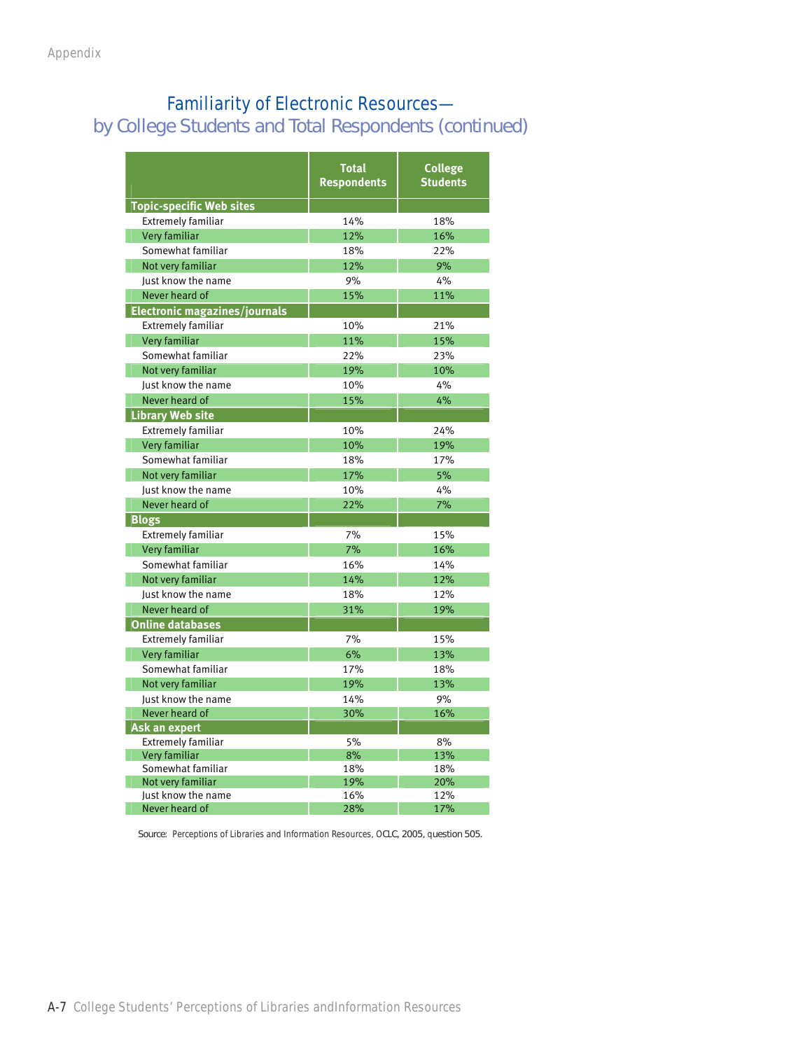# **Familiarity of Electronic Resources—**

*by College Students and Total Respondents (continued)*

| <b>Topic-specific Web sites</b><br>14%<br>18%<br><b>Extremely familiar</b><br>Very familiar<br>12%<br>16%<br>Somewhat familiar<br>18%<br>22%<br>Not very familiar<br>9%<br>12%<br>4%<br>Just know the name<br>9%<br>Never heard of<br>15%<br>11% |
|--------------------------------------------------------------------------------------------------------------------------------------------------------------------------------------------------------------------------------------------------|
|                                                                                                                                                                                                                                                  |
|                                                                                                                                                                                                                                                  |
|                                                                                                                                                                                                                                                  |
|                                                                                                                                                                                                                                                  |
|                                                                                                                                                                                                                                                  |
|                                                                                                                                                                                                                                                  |
|                                                                                                                                                                                                                                                  |
| Electronic magazines/journals                                                                                                                                                                                                                    |
| <b>Extremely familiar</b><br>10%<br>21%                                                                                                                                                                                                          |
| Very familiar<br>11%<br>15%                                                                                                                                                                                                                      |
| Somewhat familiar<br>22%<br>23%                                                                                                                                                                                                                  |
| Not very familiar<br>19%<br>10%                                                                                                                                                                                                                  |
| lust know the name<br>10%<br>4%                                                                                                                                                                                                                  |
| Never heard of<br>15%<br>4%                                                                                                                                                                                                                      |
| <b>Library Web site</b>                                                                                                                                                                                                                          |
| <b>Extremely familiar</b><br>10%<br>24%                                                                                                                                                                                                          |
| 10%<br>19%<br>Very familiar                                                                                                                                                                                                                      |
| Somewhat familiar<br>18%<br>17%                                                                                                                                                                                                                  |
| Not very familiar<br>17%<br>5%                                                                                                                                                                                                                   |
| Just know the name<br>4%<br>10%                                                                                                                                                                                                                  |
| Never heard of<br>22%<br>7%                                                                                                                                                                                                                      |
| <b>Blogs</b>                                                                                                                                                                                                                                     |
| 7%<br><b>Extremely familiar</b><br>15%                                                                                                                                                                                                           |
| <b>Very familiar</b><br>7%<br>16%                                                                                                                                                                                                                |
| Somewhat familiar<br>16%<br>14%                                                                                                                                                                                                                  |
| 14%<br>12%<br>Not very familiar                                                                                                                                                                                                                  |
| lust know the name<br>18%<br>12%                                                                                                                                                                                                                 |
| Never heard of<br>31%<br>19%                                                                                                                                                                                                                     |
| <b>Online databases</b>                                                                                                                                                                                                                          |
| 7%<br><b>Extremely familiar</b><br>15%                                                                                                                                                                                                           |
| Very familiar<br>6%<br>13%                                                                                                                                                                                                                       |
| Somewhat familiar<br>17%<br>18%                                                                                                                                                                                                                  |
| Not very familiar<br>19%<br>13%                                                                                                                                                                                                                  |
| lust know the name<br>14%<br>9%                                                                                                                                                                                                                  |
| 30%<br>16%<br>Never heard of                                                                                                                                                                                                                     |
| Ask an expert                                                                                                                                                                                                                                    |
| 5%<br>8%<br><b>Extremely familiar</b>                                                                                                                                                                                                            |
| <b>Very familiar</b><br>8%<br>13%                                                                                                                                                                                                                |
| Somewhat familiar<br>18%<br>18%                                                                                                                                                                                                                  |
| Not very familiar<br>19%<br>20%                                                                                                                                                                                                                  |
| 16%<br>12%<br>Just know the name<br>28%<br>17%<br>Never heard of                                                                                                                                                                                 |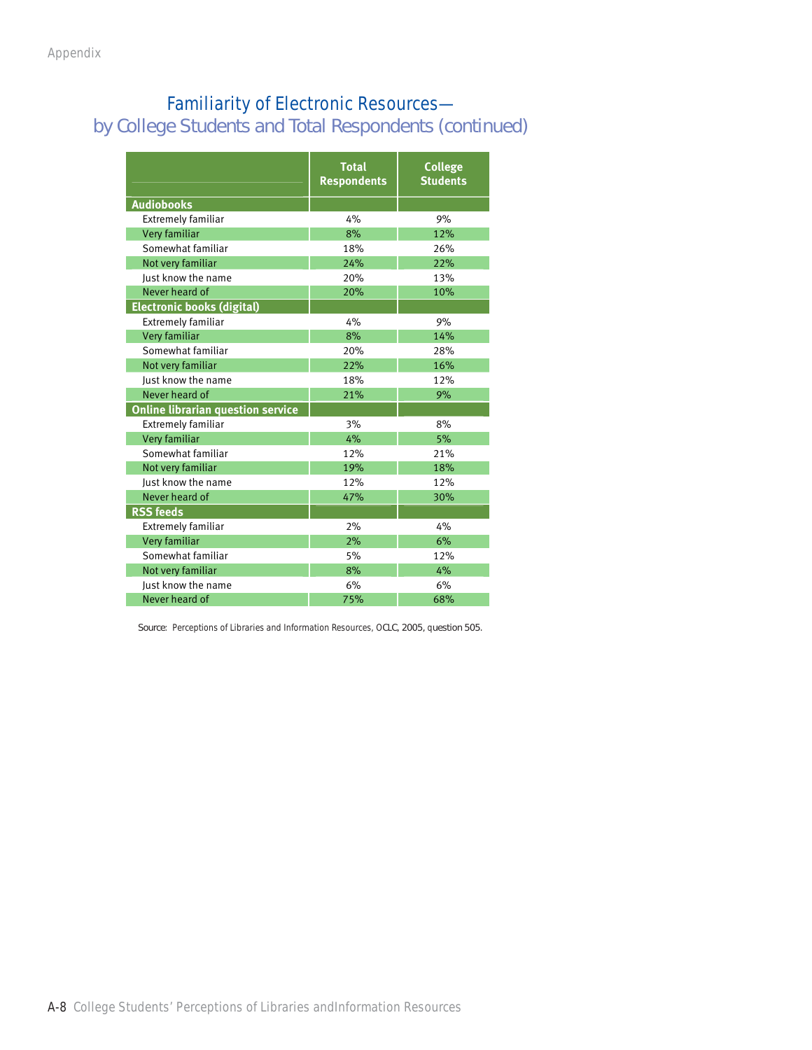## **Familiarity of Electronic Resources—**

*by College Students and Total Respondents (continued)*

|                                          | <b>Total</b><br><b>Respondents</b> | <b>College</b><br><b>Students</b> |
|------------------------------------------|------------------------------------|-----------------------------------|
| <b>Audiobooks</b>                        |                                    |                                   |
| <b>Extremely familiar</b>                | 4%                                 | 9%                                |
| <b>Very familiar</b>                     | 8%                                 | 12%                               |
| Somewhat familiar                        | 18%                                | 26%                               |
| Not very familiar                        | 24%                                | 22%                               |
| lust know the name                       | 20%                                | 13%                               |
| Never heard of                           | 20%                                | 10%                               |
| <b>Electronic books (digital)</b>        |                                    |                                   |
| <b>Extremely familiar</b>                | 4%                                 | 9%                                |
| Very familiar                            | 8%                                 | 14%                               |
| Somewhat familiar                        | 20%                                | 28%                               |
| Not very familiar                        | 22%                                | 16%                               |
| lust know the name                       | 18%                                | 12%                               |
| Never heard of                           | 21%                                | 9%                                |
| <b>Online librarian question service</b> |                                    |                                   |
| <b>Extremely familiar</b>                | 3%                                 | 8%                                |
| <b>Very familiar</b>                     | 4%                                 | 5%                                |
| Somewhat familiar                        | 12%                                | 21%                               |
| Not very familiar                        | 19%                                | 18%                               |
| lust know the name                       | 12%                                | 12%                               |
| Never heard of                           | 47%                                | 30%                               |
| <b>RSS feeds</b>                         |                                    |                                   |
| <b>Extremely familiar</b>                | 2%                                 | 4%                                |
| <b>Very familiar</b>                     | 2%                                 | 6%                                |
| Somewhat familiar                        | 5%                                 | 12%                               |
| Not very familiar                        | 8%                                 | 4%                                |
| lust know the name                       | 6%                                 | 6%                                |
| Never heard of                           | 75%                                | 68%                               |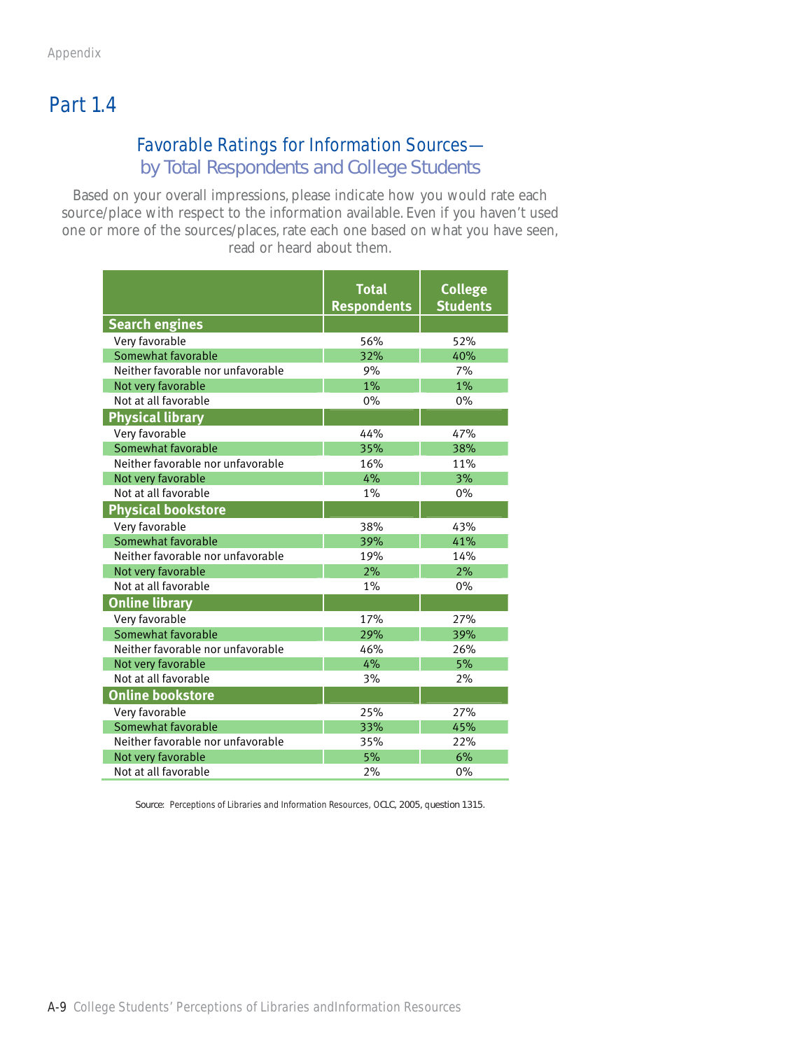# **Part 1.4**

#### **Favorable Ratings for Information Sources—**

*by Total Respondents and College Students*

Based on your overall impressions, please indicate how you would rate each source/place with respect to the information available. Even if you haven't used one or more of the sources/places, rate each one based on what you have seen, read or heard about them.

|                                   | <b>Total</b><br><b>Respondents</b> | <b>College</b><br><b>Students</b> |
|-----------------------------------|------------------------------------|-----------------------------------|
| <b>Search engines</b>             |                                    |                                   |
| Very favorable                    | 56%                                | 52%                               |
| Somewhat favorable                | 32%                                | 40%                               |
| Neither favorable nor unfavorable | 9%                                 | 7%                                |
| Not very favorable                | $1\%$                              | $1\%$                             |
| Not at all favorable              | 0%                                 | 0%                                |
| <b>Physical library</b>           |                                    |                                   |
| Very favorable                    | 44%                                | 47%                               |
| Somewhat favorable                | 35%                                | 38%                               |
| Neither favorable nor unfavorable | 16%                                | 11%                               |
| Not very favorable                | 4%                                 | 3%                                |
| Not at all favorable              | $1\%$                              | 0%                                |
| <b>Physical bookstore</b>         |                                    |                                   |
| Very favorable                    | 38%                                | 43%                               |
| Somewhat favorable                | 39%                                | 41%                               |
| Neither favorable nor unfavorable | 19%                                | 14%                               |
| Not very favorable                | 2%                                 | 2%                                |
| Not at all favorable              | $1\%$                              | 0%                                |
| <b>Online library</b>             |                                    |                                   |
| Very favorable                    | 17%                                | 27%                               |
| Somewhat favorable                | 29%                                | 39%                               |
| Neither favorable nor unfavorable | 46%                                | 26%                               |
| Not very favorable                | 4%                                 | 5%                                |
| Not at all favorable              | 3%                                 | 2%                                |
| <b>Online bookstore</b>           |                                    |                                   |
| Very favorable                    | 25%                                | 27%                               |
| Somewhat favorable                | 33%                                | 45%                               |
| Neither favorable nor unfavorable | 35%                                | 22%                               |
| Not very favorable                | 5%                                 | 6%                                |
| Not at all favorable              | 2%                                 | 0%                                |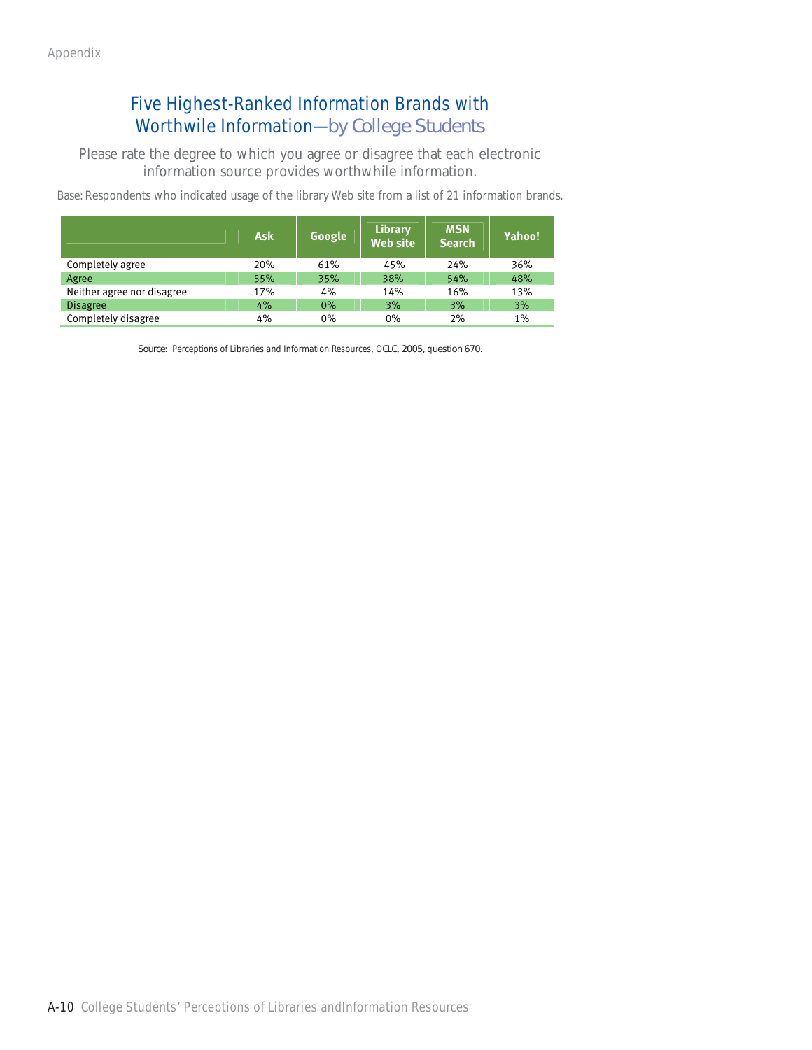### **Five Highest-Ranked Information Brands with Worthwile Information—***by College Students*

Please rate the degree to which you agree or disagree that each electronic information source provides worthwhile information.

Base: Respondents who indicated usage of the library Web site from a list of 21 information brands.

|                            | <b>Ask</b> | Google | <b>Library</b><br><b>Web site</b> | <b>MSN</b><br><b>Search</b> | <b>Yahoo!</b> |
|----------------------------|------------|--------|-----------------------------------|-----------------------------|---------------|
| Completely agree           | 20%        | 61%    | 45%                               | 24%                         | 36%           |
| Agree                      | 55%        | 35%    | 38%                               | 54%                         | 48%           |
| Neither agree nor disagree | 17%        | 4%     | 14%                               | 16%                         | 13%           |
| <b>Disagree</b>            | 4%         | 0%     | 3%                                | 3%                          | 3%            |
| Completely disagree        | 4%         | 0%     | $0\%$                             | 2%                          | 1%            |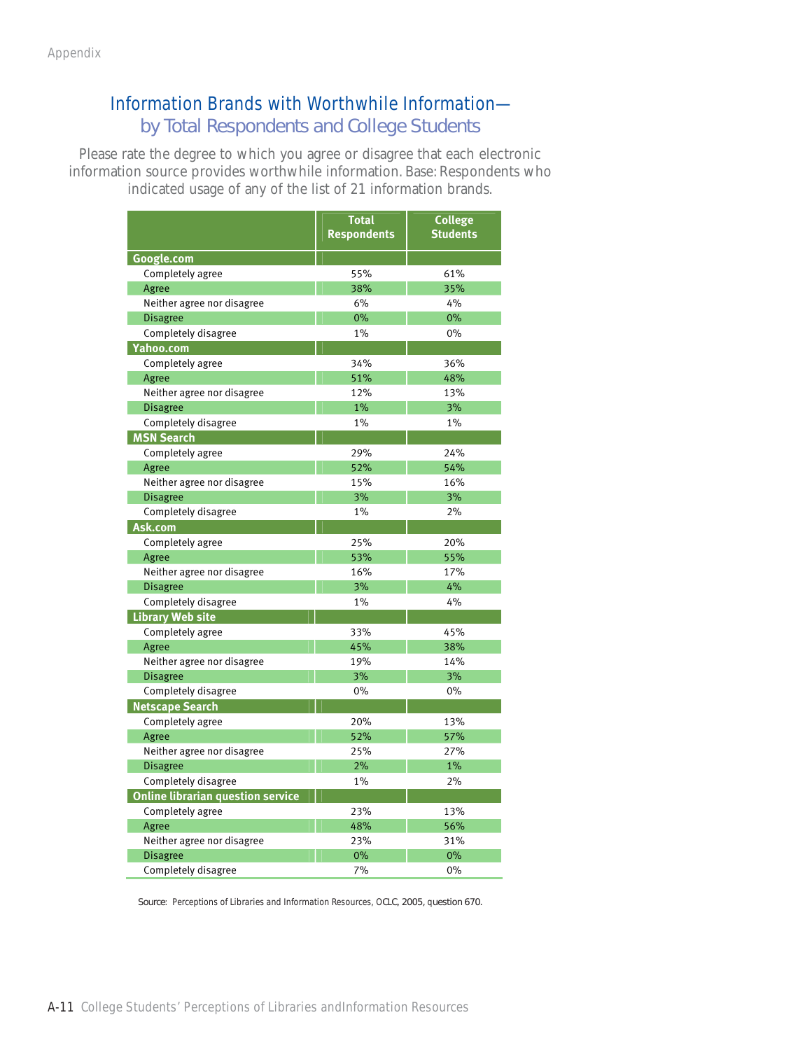#### **Information Brands with Worthwhile Information—**

*by Total Respondents and College Students*

Please rate the degree to which you agree or disagree that each electronic information source provides worthwhile information. Base: Respondents who indicated usage of any of the list of 21 information brands.

|                                          | <b>Total</b><br><b>Respondents</b> | <b>College</b><br><b>Students</b> |
|------------------------------------------|------------------------------------|-----------------------------------|
| Google.com                               |                                    |                                   |
| Completely agree                         | 55%                                | 61%                               |
| Agree                                    | 38%                                | 35%                               |
| Neither agree nor disagree               | 6%                                 | 4%                                |
| <b>Disagree</b>                          | 0%                                 | $0\%$                             |
| Completely disagree                      | $1\%$                              | 0%                                |
| Yahoo.com                                |                                    |                                   |
| Completely agree                         | 34%                                | 36%                               |
| Agree                                    | 51%                                | 48%                               |
| Neither agree nor disagree               | 12%                                | 13%                               |
| <b>Disagree</b>                          | $1\%$                              | 3%                                |
| Completely disagree                      | 1%                                 | 1%                                |
| <b>MSN Search</b>                        |                                    |                                   |
| Completely agree                         | 29%                                | 24%                               |
| Agree                                    | 52%                                | 54%                               |
| Neither agree nor disagree               | 15%                                | 16%                               |
| <b>Disagree</b>                          | 3%                                 | 3%                                |
| Completely disagree                      | $1\%$                              | 2%                                |
| Ask.com                                  |                                    |                                   |
| Completely agree                         | 25%                                | 20%                               |
| Agree                                    | 53%                                | 55%                               |
| Neither agree nor disagree               | 16%                                | 17%                               |
| <b>Disagree</b>                          | 3%                                 | 4%                                |
| Completely disagree                      | $1\%$                              | 4%                                |
| <b>Library Web site</b>                  |                                    |                                   |
| Completely agree                         | 33%                                | 45%                               |
| Agree                                    | 45%                                | 38%                               |
| Neither agree nor disagree               | 19%                                | 14%                               |
| <b>Disagree</b>                          | 3%                                 | 3%                                |
| Completely disagree                      | $0\%$                              | $0\%$                             |
| <b>Netscape Search</b>                   |                                    |                                   |
| Completely agree                         | 20%                                | 13%                               |
| Agree                                    | 52%                                | 57%                               |
| Neither agree nor disagree               | 25%                                | 27%                               |
| <b>Disagree</b>                          | 2%                                 | 1%                                |
| Completely disagree                      | $1\%$                              | 2%                                |
| <b>Online librarian question service</b> |                                    |                                   |
| Completely agree                         | 23%                                | 13%                               |
| Agree                                    | 48%                                | 56%                               |
| Neither agree nor disagree               | 23%                                | 31%                               |
| <b>Disagree</b>                          | 0%                                 | 0%                                |
| Completely disagree                      | 7%                                 | 0%                                |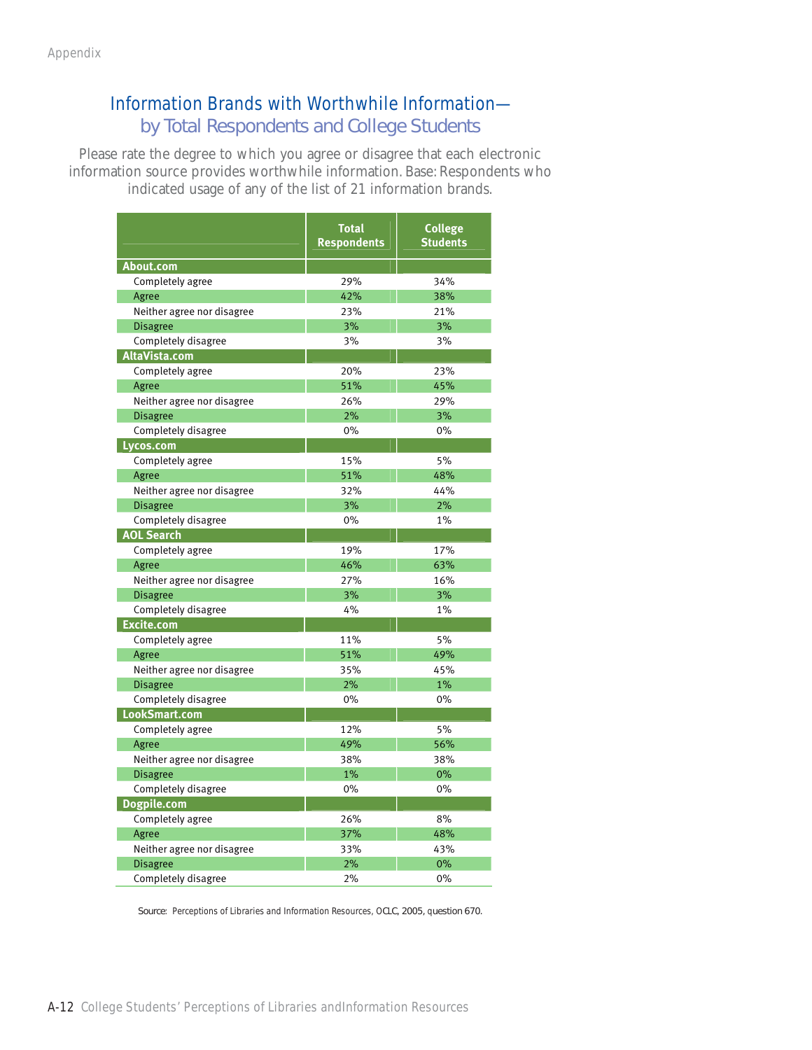### **Information Brands with Worthwhile Information—**

*by Total Respondents and College Students*

Please rate the degree to which you agree or disagree that each electronic information source provides worthwhile information. Base: Respondents who indicated usage of any of the list of 21 information brands.

|                            | <b>Total</b><br><b>Respondents</b> | <b>College</b><br><b>Students</b> |
|----------------------------|------------------------------------|-----------------------------------|
| About.com                  |                                    |                                   |
| Completely agree           | 29%                                | 34%                               |
| Agree                      | 42%                                | 38%                               |
| Neither agree nor disagree | 23%                                | 21%                               |
| <b>Disagree</b>            | 3%                                 | 3%                                |
| Completely disagree        | 3%                                 | 3%                                |
| AltaVista.com              |                                    |                                   |
| Completely agree           | 20%                                | 23%                               |
| Agree                      | 51%                                | 45%                               |
| Neither agree nor disagree | 26%                                | 29%                               |
| <b>Disagree</b>            | 2%                                 | 3%                                |
| Completely disagree        | 0%                                 | 0%                                |
| Lycos.com                  |                                    |                                   |
| Completely agree           | 15%                                | 5%                                |
| Agree                      | 51%                                | 48%                               |
| Neither agree nor disagree | 32%                                | 44%                               |
| <b>Disagree</b>            | 3%                                 | 2%                                |
| Completely disagree        | 0%                                 | 1%                                |
| <b>AOL Search</b>          |                                    |                                   |
| Completely agree           | 19%                                | 17%                               |
| Agree                      | 46%                                | 63%                               |
| Neither agree nor disagree | 27%                                | 16%                               |
| <b>Disagree</b>            | 3%                                 | 3%                                |
| Completely disagree        | 4%                                 | 1%                                |
| <b>Excite.com</b>          |                                    |                                   |
| Completely agree           | 11%                                | 5%                                |
| Agree                      | 51%                                | 49%                               |
| Neither agree nor disagree | 35%                                | 45%                               |
| <b>Disagree</b>            | 2%                                 | $1\%$                             |
| Completely disagree        | 0%                                 | 0%                                |
| <b>LookSmart.com</b>       |                                    |                                   |
| Completely agree           | 12%                                | 5%                                |
| Agree                      | 49%                                | 56%                               |
| Neither agree nor disagree | 38%                                | 38%                               |
| <b>Disagree</b>            | 1%                                 | 0%                                |
| Completely disagree        | 0%                                 | 0%                                |
| Dogpile.com                |                                    |                                   |
| Completely agree           | 26%                                | 8%                                |
| Agree                      | 37%                                | 48%                               |
| Neither agree nor disagree | 33%                                | 43%                               |
| <b>Disagree</b>            | 2%                                 | 0%                                |
| Completely disagree        | 2%                                 | 0%                                |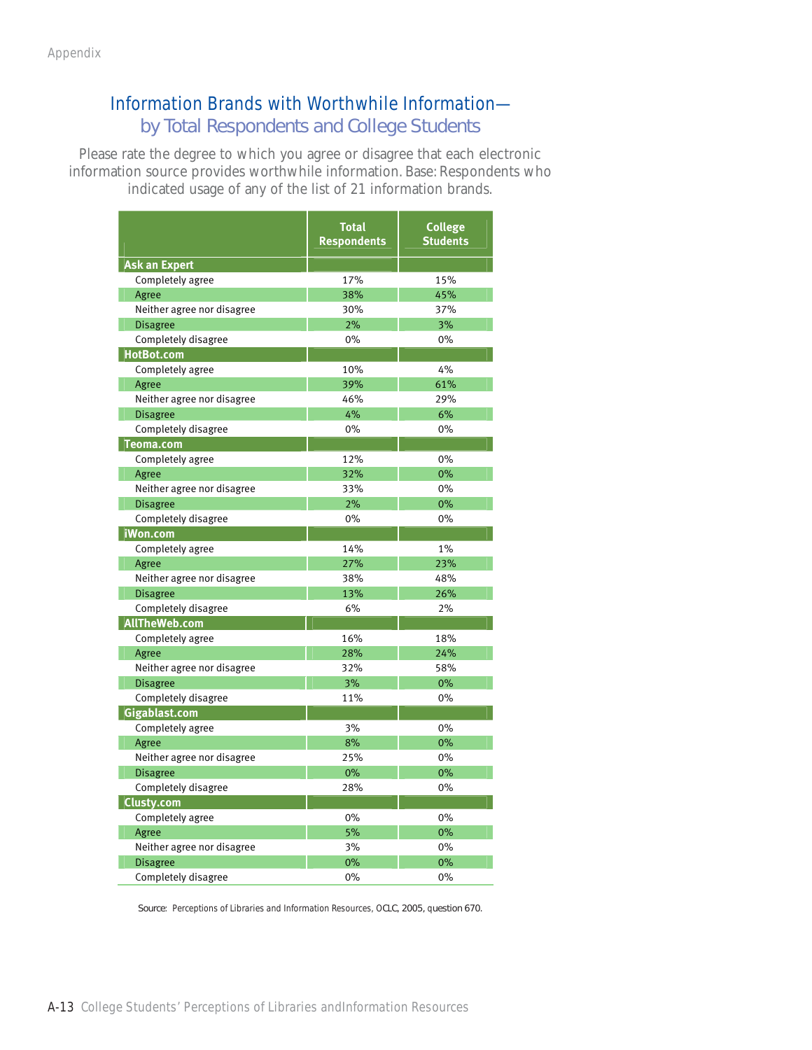#### **Information Brands with Worthwhile Information—**

*by Total Respondents and College Students*

Please rate the degree to which you agree or disagree that each electronic information source provides worthwhile information. Base: Respondents who indicated usage of any of the list of 21 information brands.

|                            | <b>Total</b><br><b>Respondents</b> | <b>College</b><br><b>Students</b> |
|----------------------------|------------------------------------|-----------------------------------|
| <b>Ask an Expert</b>       |                                    |                                   |
| Completely agree           | 17%                                | 15%                               |
| Agree                      | 38%                                | 45%                               |
| Neither agree nor disagree | 30%                                | 37%                               |
| <b>Disagree</b>            | 2%                                 | 3%                                |
| Completely disagree        | 0%                                 | 0%                                |
| <b>HotBot.com</b>          |                                    |                                   |
| Completely agree           | 10%                                | 4%                                |
| Agree                      | 39%                                | 61%                               |
| Neither agree nor disagree | 46%                                | 29%                               |
| <b>Disagree</b>            | 4%                                 | 6%                                |
| Completely disagree        | 0%                                 | 0%                                |
| <b>Teoma.com</b>           |                                    |                                   |
| Completely agree           | 12%                                | 0%                                |
| Agree                      | 32%                                | 0%                                |
| Neither agree nor disagree | 33%                                | 0%                                |
| <b>Disagree</b>            | 2%                                 | 0%                                |
| Completely disagree        | $0\%$                              | 0%                                |
| iWon.com                   |                                    |                                   |
| Completely agree           | 14%                                | $1\%$                             |
| Agree                      | 27%                                | 23%                               |
| Neither agree nor disagree | 38%                                | 48%                               |
| <b>Disagree</b>            | 13%                                | 26%                               |
| Completely disagree        | 6%                                 | 2%                                |
| AllTheWeb.com              |                                    |                                   |
| Completely agree           | 16%                                | 18%                               |
| Agree                      | 28%                                | 24%                               |
| Neither agree nor disagree | 32%                                | 58%                               |
| <b>Disagree</b>            | 3%                                 | 0%                                |
| Completely disagree        | 11%                                | 0%                                |
| <b>Gigablast.com</b>       |                                    |                                   |
| Completely agree           | 3%                                 | 0%                                |
| Agree                      | 8%                                 | 0%                                |
| Neither agree nor disagree | 25%                                | 0%                                |
| <b>Disagree</b>            | 0%                                 | 0%                                |
| Completely disagree        | 28%                                | 0%                                |
| <b>Clusty.com</b>          |                                    |                                   |
| Completely agree           | 0%                                 | 0%                                |
| Agree                      | 5%                                 | 0%                                |
| Neither agree nor disagree | 3%                                 | 0%                                |
| <b>Disagree</b>            | 0%                                 | 0%                                |
| Completely disagree        | 0%                                 | 0%                                |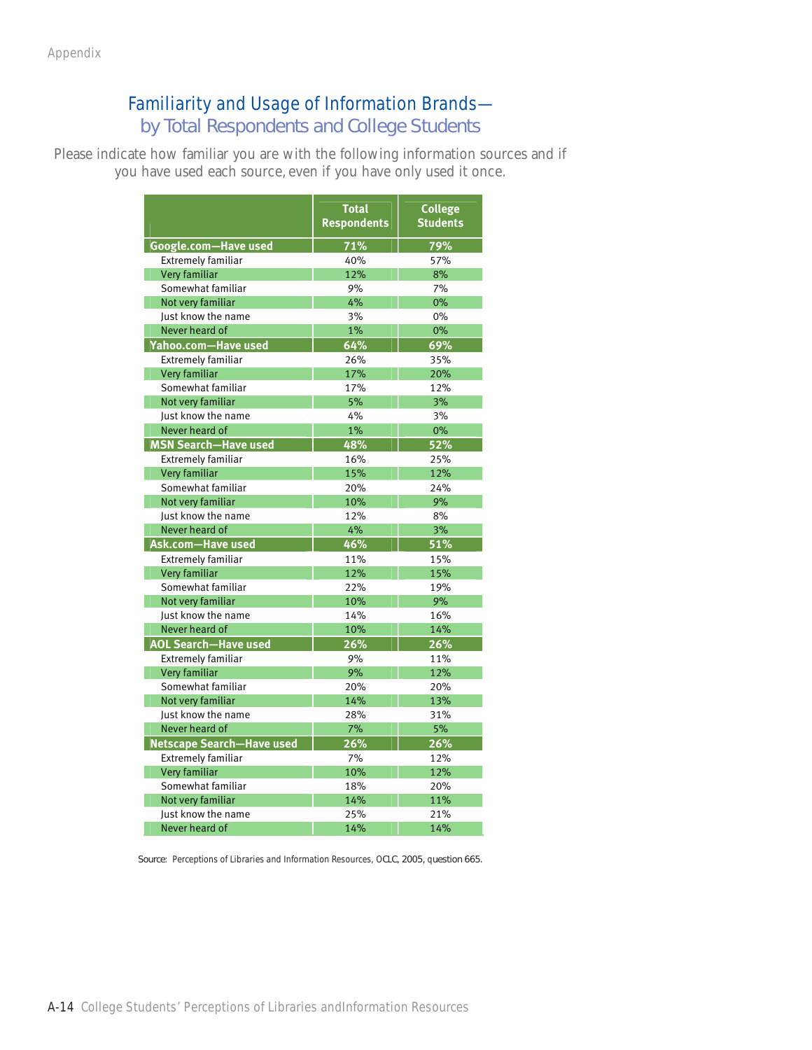*by Total Respondents and College Students*

Please indicate how familiar you are with the following information sources and if you have used each source, even if you have only used it once.

|                                  | <b>Total</b>       | <b>College</b><br><b>Students</b> |
|----------------------------------|--------------------|-----------------------------------|
|                                  | <b>Respondents</b> |                                   |
| Google.com-Have used             | 71%                | 79%                               |
| <b>Extremely familiar</b>        | 40%                | 57%                               |
| Very familiar                    | 12%                | 8%                                |
| Somewhat familiar                | 9%                 | 7%                                |
| Not very familiar                | 4%                 | 0%                                |
| lust know the name               | 3%                 | 0%                                |
| Never heard of                   | $1\%$              | 0%                                |
| Yahoo.com-Have used              | 64%                | 69%                               |
| <b>Extremely familiar</b>        | 26%                | 35%                               |
| Very familiar                    | 17%                | 20%                               |
| Somewhat familiar                | 17%                | 12%                               |
| Not very familiar                | 5%                 | 3%                                |
| lust know the name               | 4%                 | 3%                                |
| Never heard of                   | 1%                 | 0%                                |
| <b>MSN Search-Have used</b>      | 48%                | 52%                               |
| <b>Extremely familiar</b>        | 16%                | 25%                               |
| <b>Very familiar</b>             | 15%                | 12%                               |
| Somewhat familiar                | 20%                | 24%                               |
| Not very familiar                | 10%                | 9%                                |
| lust know the name               | 12%                | 8%                                |
| Never heard of                   | 4%                 | 3%                                |
| Ask.com-Have used                | 46%                | 51%                               |
| <b>Extremely familiar</b>        | 11%                | 15%                               |
| <b>Very familiar</b>             | 12%                | 15%                               |
| Somewhat familiar                | 22%                | 19%                               |
| Not very familiar                | 10%                | 9%                                |
| lust know the name               | 14%                | 16%                               |
| Never heard of                   | 10%                | 14%                               |
| <b>AOL Search-Have used</b>      | 26%                | 26%                               |
| <b>Extremely familiar</b>        | 9%                 | 11%                               |
| <b>Very familiar</b>             | 9%                 | 12%                               |
| Somewhat familiar                | 20%                | 20%                               |
| Not very familiar                | 14%                | 13%                               |
| lust know the name               | 28%                | 31%                               |
| Never heard of                   | 7%                 | 5%                                |
| <b>Netscape Search-Have used</b> | 26%                | 26%                               |
| <b>Extremely familiar</b>        | 7%                 | 12%                               |
| Very familiar                    | 10%                | 12%                               |
| Somewhat familiar                | 18%                | 20%                               |
| Not very familiar                | 14%                | 11%                               |
| lust know the name               | 25%                | 21%                               |
| Never heard of                   | 14%                | 14%                               |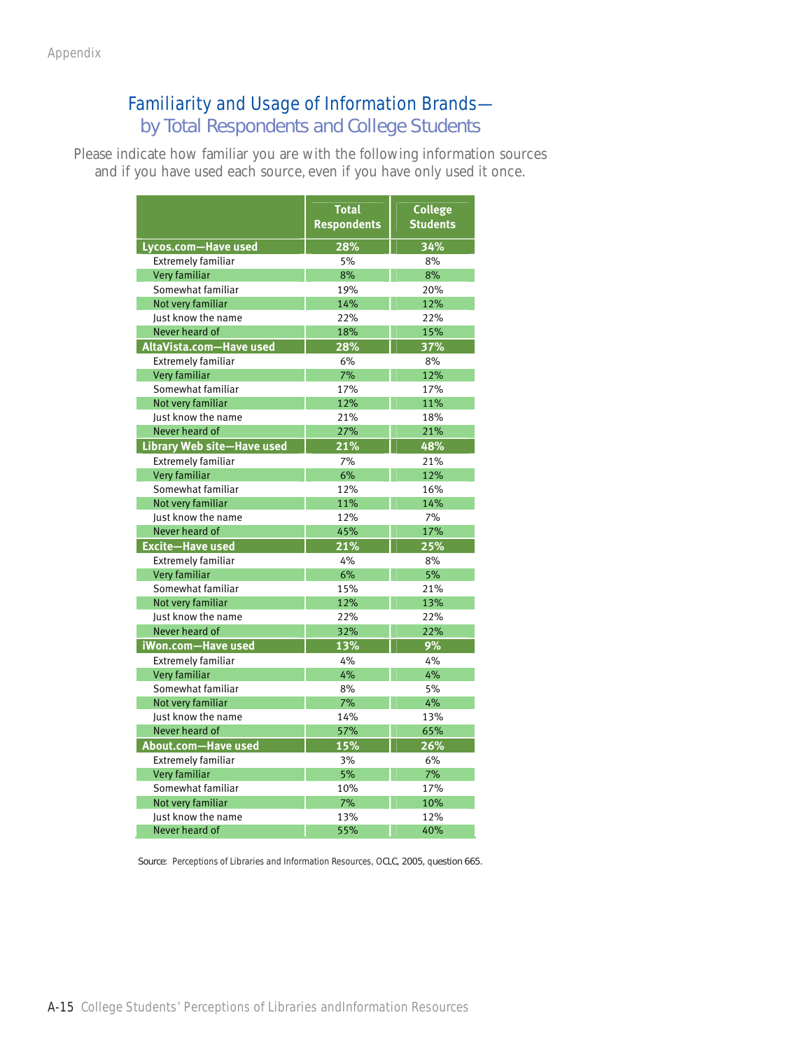*by Total Respondents and College Students*

Please indicate how familiar you are with the following information sources and if you have used each source, even if you have only used it once.

|                                   | <b>Total</b><br><b>Respondents</b> | <b>College</b><br><b>Students</b> |
|-----------------------------------|------------------------------------|-----------------------------------|
| Lycos.com-Have used               | 28%                                | 34%                               |
| <b>Extremely familiar</b>         | 5%                                 | 8%                                |
| Very familiar                     | 8%                                 | 8%                                |
| Somewhat familiar                 | 19%                                | 20%                               |
| Not very familiar                 | 14%                                | 12%                               |
| lust know the name                | 22%                                | 22%                               |
| Never heard of                    | 18%                                | 15%                               |
| AltaVista.com-Have used           | 28%                                | 37%                               |
| <b>Extremely familiar</b>         | 6%                                 | 8%                                |
| Very familiar                     | 7%                                 | 12%                               |
| Somewhat familiar                 | 17%                                | 17%                               |
| Not very familiar                 | 12%                                | 11%                               |
| Just know the name                | 21%                                | 18%                               |
| Never heard of                    | 27%                                | 21%                               |
| <b>Library Web site-Have used</b> | 21%                                | 48%                               |
| <b>Extremely familiar</b>         | 7%                                 | 21%                               |
| <b>Very familiar</b>              | 6%                                 | 12%                               |
| Somewhat familiar                 | 12%                                | 16%                               |
| Not very familiar                 | 11%                                | 14%                               |
| lust know the name                | 12%                                | 7%                                |
| Never heard of                    | 45%                                | 17%                               |
| <b>Excite-Have used</b>           | 21%                                | 25%                               |
| <b>Extremely familiar</b>         | 4%                                 | 8%                                |
| Very familiar                     | 6%                                 | 5%                                |
| Somewhat familiar                 | 15%                                | 21%                               |
| Not very familiar                 | 12%                                | 13%                               |
| lust know the name                | 22%                                | 22%                               |
| Never heard of                    | 32%                                | 22%                               |
| iWon.com-Have used                | 13%                                | 9%                                |
| <b>Extremely familiar</b>         | 4%                                 | 4%                                |
| Very familiar                     | 4%                                 | 4%                                |
| Somewhat familiar                 | 8%                                 | 5%                                |
| Not very familiar                 | 7%                                 | 4%                                |
| lust know the name                | 14%                                | 13%                               |
| Never heard of                    | 57%                                | 65%                               |
| About.com-Have used               | 15%                                | 26%                               |
| <b>Extremely familiar</b>         | 3%                                 | 6%                                |
| Very familiar                     | 5%                                 | 7%                                |
| Somewhat familiar                 | 10%                                | 17%                               |
| Not very familiar                 | 7%                                 | 10%                               |
| lust know the name                | 13%                                | 12%                               |
| Never heard of                    | 55%                                | 40%                               |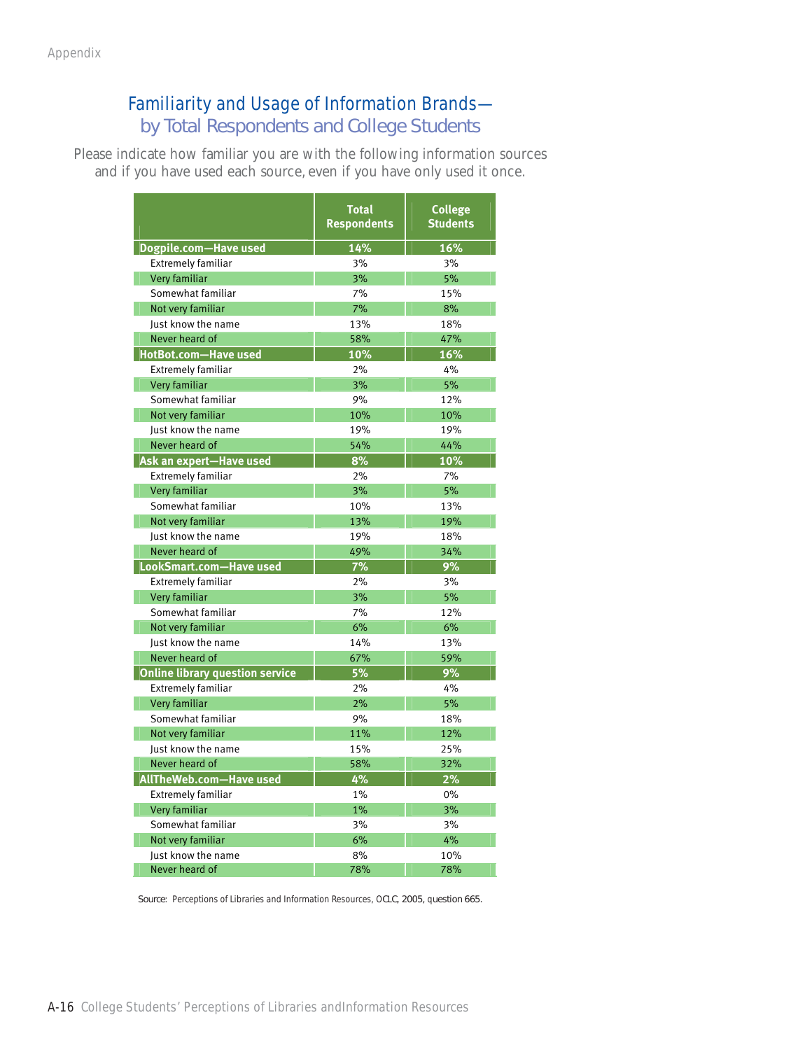*by Total Respondents and College Students*

Please indicate how familiar you are with the following information sources and if you have used each source, even if you have only used it once.

|                                        | <b>Total</b><br><b>Respondents</b> | <b>College</b><br><b>Students</b> |
|----------------------------------------|------------------------------------|-----------------------------------|
| Dogpile.com-Have used                  | 14%                                | 16%                               |
| <b>Extremely familiar</b>              | 3%                                 | 3%                                |
| Very familiar                          | 3%                                 | 5%                                |
| Somewhat familiar                      | 7%                                 | 15%                               |
| Not very familiar                      | 7%                                 | 8%                                |
| lust know the name                     | 13%                                | 18%                               |
| Never heard of                         | 58%                                | 47%                               |
| HotBot.com-Have used                   | 10%                                | 16%                               |
| <b>Extremely familiar</b>              | 2%                                 | 4%                                |
| Very familiar                          | 3%                                 | 5%                                |
| Somewhat familiar                      | 9%                                 | 12%                               |
| Not very familiar                      | 10%                                | 10%                               |
| Just know the name                     | 19%                                | 19%                               |
| Never heard of                         | 54%                                | 44%                               |
| Ask an expert-Have used                | 8%                                 | 10%                               |
| <b>Extremely familiar</b>              | 2%                                 | 7%                                |
| Very familiar                          | 3%                                 | 5%                                |
| Somewhat familiar                      | 10%                                | 13%                               |
| Not very familiar                      | 13%                                | 19%                               |
| lust know the name                     | 19%                                | 18%                               |
| Never heard of                         | 49%                                | 34%                               |
| LookSmart.com-Have used                | 7%                                 | 9%                                |
| <b>Extremely familiar</b>              | 2%                                 | 3%                                |
| Very familiar                          | 3%                                 | 5%                                |
| Somewhat familiar                      | 7%                                 | 12%                               |
| Not very familiar                      | 6%                                 | 6%                                |
| lust know the name                     | 14%                                | 13%                               |
| Never heard of                         | 67%                                | 59%                               |
| <b>Online library question service</b> | 5%                                 | 9%                                |
| <b>Extremely familiar</b>              | 2%                                 | 4%                                |
| Very familiar                          | 2%                                 | 5%                                |
| Somewhat familiar                      | 9%                                 | 18%                               |
| Not very familiar                      | 11%                                | 12%                               |
| Just know the name                     | 15%                                | 25%                               |
| Never heard of                         | 58%                                | 32%                               |
| AllTheWeb.com-Have used                | 4%                                 | 2%                                |
| <b>Extremely familiar</b>              | 1%                                 | 0%                                |
| Very familiar                          | 1%                                 | 3%                                |
| Somewhat familiar                      | 3%                                 | 3%                                |
| Not very familiar                      | 6%                                 | 4%                                |
| lust know the name                     | 8%                                 | 10%                               |
| Never heard of                         | 78%                                | 78%                               |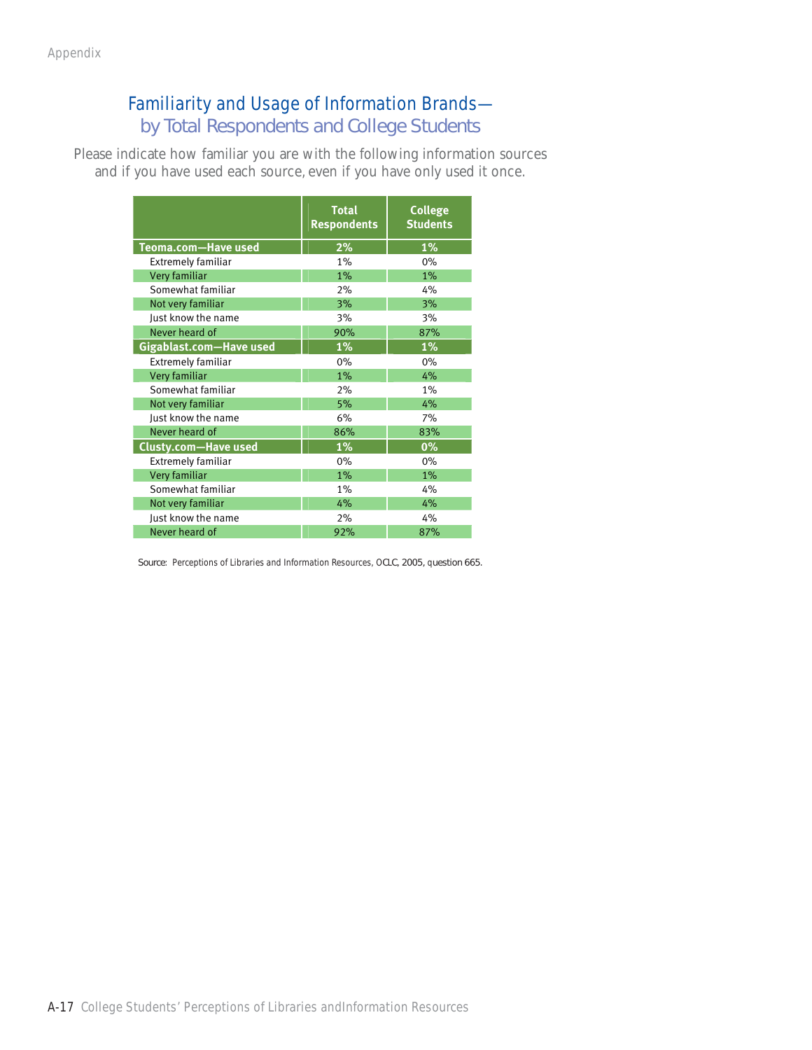*by Total Respondents and College Students*

Please indicate how familiar you are with the following information sources and if you have used each source, even if you have only used it once.

|                             | <b>Total</b><br><b>Respondents</b> | <b>College</b><br><b>Students</b> |
|-----------------------------|------------------------------------|-----------------------------------|
| Teoma.com-Have used         | 2%                                 | 1%                                |
| <b>Extremely familiar</b>   | 1%                                 | 0%                                |
| Very familiar               | $1\%$                              | 1%                                |
| Somewhat familiar           | 2%                                 | 4%                                |
| Not very familiar           | 3%                                 | 3%                                |
| Just know the name          | 3%                                 | 3%                                |
| Never heard of              | 90%                                | 87%                               |
| Gigablast.com-Have used     | 1%                                 | 1%                                |
| <b>Extremely familiar</b>   | 0%                                 | 0%                                |
| Very familiar               | $1\%$                              | 4%                                |
| Somewhat familiar           | 2%                                 | 1%                                |
| Not very familiar           | 5%                                 | 4%                                |
| Just know the name          | 6%                                 | 7%                                |
| Never heard of              | 86%                                | 83%                               |
| <b>Clusty.com-Have used</b> | 1%                                 | 0%                                |
| Extremely familiar          | 0%                                 | 0%                                |
| Very familiar               | $1\%$                              | 1%                                |
| Somewhat familiar           | $1\%$                              | 4%                                |
| Not very familiar           | 4%                                 | 4%                                |
| lust know the name          | 2%                                 | 4%                                |
| Never heard of              | 92%                                | 87%                               |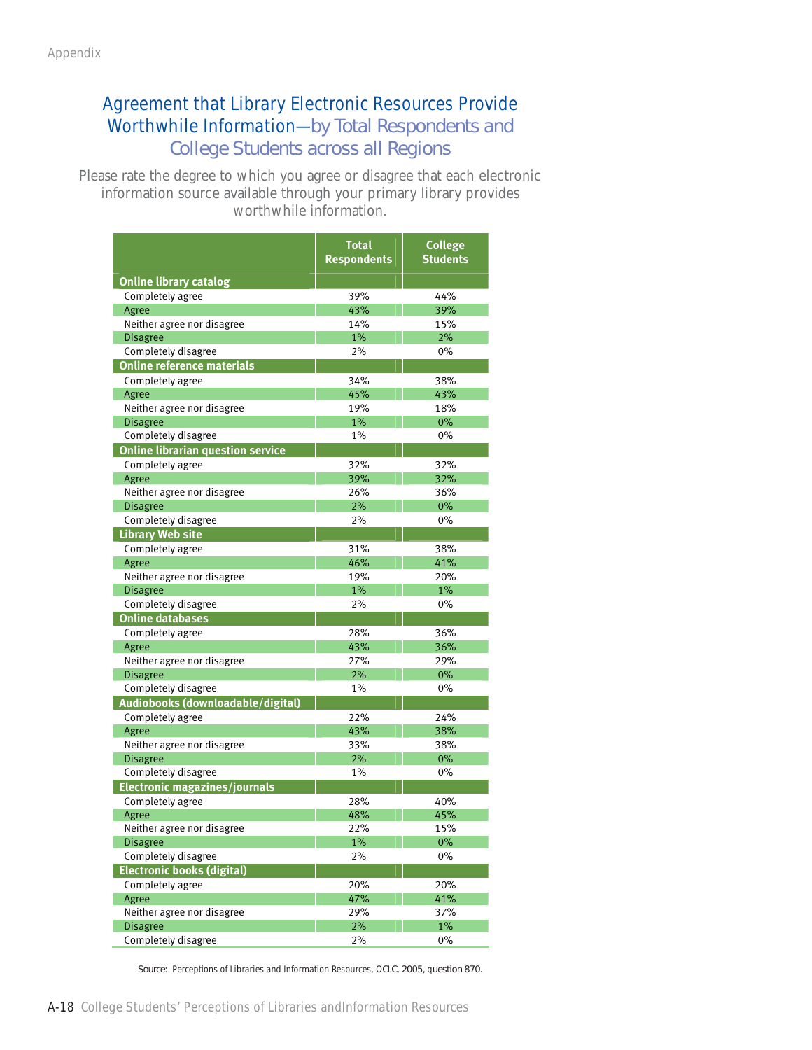#### **Agreement that Library Electronic Resources Provide Worthwhile Information—***by Total Respondents and College Students across all Regions*

Please rate the degree to which you agree or disagree that each electronic information source available through your primary library provides worthwhile information.

|                                          | <b>Total</b><br><b>Respondents</b> | <b>College</b><br><b>Students</b> |
|------------------------------------------|------------------------------------|-----------------------------------|
| <b>Online library catalog</b>            |                                    |                                   |
| Completely agree                         | 39%                                | 44%                               |
| Agree                                    | 43%                                | 39%                               |
| Neither agree nor disagree               | 14%                                | 15%                               |
| <b>Disagree</b>                          | 1%                                 | 2%                                |
| Completely disagree                      | 2%                                 | $0\%$                             |
| <b>Online reference materials</b>        |                                    |                                   |
| Completely agree                         | 34%                                | 38%                               |
| Agree                                    | 45%                                | 43%                               |
| Neither agree nor disagree               | 19%                                | 18%                               |
| <b>Disagree</b>                          | 1%                                 | $0\%$                             |
| Completely disagree                      | 1%                                 | $0\%$                             |
| <b>Online librarian question service</b> |                                    |                                   |
| Completely agree                         | 32%                                | 32%                               |
| Agree                                    | 39%                                | 32%                               |
| Neither agree nor disagree               | 26%                                | 36%                               |
| <b>Disagree</b>                          | 2%                                 | 0%                                |
| Completely disagree                      | 2%                                 | $0\%$                             |
| <b>Library Web site</b>                  |                                    |                                   |
| Completely agree                         | 31%                                | 38%                               |
| Agree                                    | 46%                                | 41%                               |
| Neither agree nor disagree               | 19%                                | 20%                               |
| <b>Disagree</b>                          | 1%                                 | $1\%$                             |
| Completely disagree                      | 2%                                 | 0%                                |
| <b>Online databases</b>                  |                                    |                                   |
| Completely agree                         | 28%                                | 36%                               |
| Agree                                    | 43%                                | 36%                               |
| Neither agree nor disagree               | 27%                                | 29%                               |
| <b>Disagree</b>                          | 2%                                 | 0%                                |
| Completely disagree                      | 1%                                 | 0%                                |
| Audiobooks (downloadable/digital)        |                                    |                                   |
| Completely agree                         | 22%                                | 24%                               |
| Agree                                    | 43%                                | 38%                               |
| Neither agree nor disagree               | 33%                                | 38%                               |
| <b>Disagree</b>                          | 2%                                 | 0%                                |
| Completely disagree                      | 1%                                 | 0%                                |
| <b>Electronic magazines/journals</b>     |                                    |                                   |
| Completely agree                         | 28%                                | 40%                               |
| Agree                                    | 48%                                | 45%                               |
| Neither agree nor disagree               | 22%                                | 15%                               |
| <b>Disagree</b>                          | $1\%$                              | 0%                                |
| Completely disagree                      | 2%                                 | 0%                                |
| <b>Electronic books (digital)</b>        |                                    |                                   |
| Completely agree                         | 20%                                | 20%                               |
| Agree                                    | 47%                                | 41%                               |
| Neither agree nor disagree               | 29%                                | 37%                               |
| <b>Disagree</b>                          | 2%                                 | 1%                                |
| Completely disagree                      | 2%                                 | 0%                                |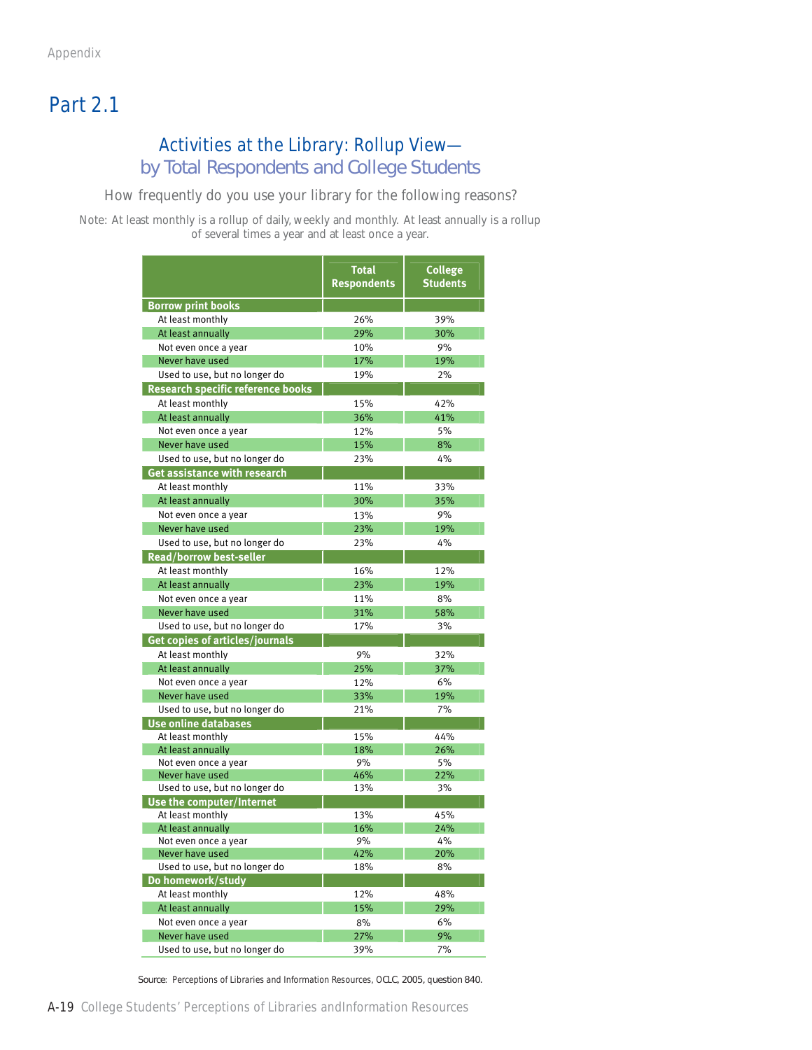# **Part 2.1**

#### **Activities at the Library: Rollup View—**

*by Total Respondents and College Students*

#### How frequently do you use your library for the following reasons?

Note: At least monthly is a rollup of daily, weekly and monthly. At least annually is a rollup of several times a year and at least once a year.

|                                        | <b>Total</b><br><b>Respondents</b> | <b>College</b><br><b>Students</b> |
|----------------------------------------|------------------------------------|-----------------------------------|
| <b>Borrow print books</b>              |                                    |                                   |
| At least monthly                       | 26%                                | 39%                               |
| At least annually                      | 29%                                | 30%                               |
| Not even once a year                   | 10%                                | 9%                                |
| Never have used                        | 17%                                | 19%                               |
| Used to use, but no longer do          | 19%                                | 2%                                |
| Research specific reference books      |                                    |                                   |
| At least monthly                       | 15%                                | 42%                               |
| At least annually                      | 36%                                | 41%                               |
| Not even once a year                   | 12%                                | 5%                                |
| Never have used                        | 15%                                | 8%                                |
| Used to use, but no longer do          | 23%                                | 4%                                |
| Get assistance with research           |                                    |                                   |
| At least monthly                       | 11%                                | 33%                               |
| At least annually                      | 30%                                | 35%                               |
| Not even once a year                   | 13%                                | 9%                                |
| Never have used                        | 23%                                | 19%                               |
| Used to use, but no longer do          | 23%                                | 4%                                |
| <b>Read/borrow best-seller</b>         |                                    |                                   |
|                                        | 16%                                | 12%                               |
| At least monthly<br>At least annually  | 23%                                | 19%                               |
| Not even once a year                   |                                    | 8%                                |
| Never have used                        | 11%<br>31%                         | 58%                               |
|                                        |                                    |                                   |
| Used to use, but no longer do          | 17%                                | 3%                                |
| <b>Get copies of articles/journals</b> |                                    |                                   |
| At least monthly                       | 9%                                 | 32%                               |
| At least annually                      | 25%                                | 37%                               |
| Not even once a year                   | 12%                                | 6%                                |
| Never have used                        | 33%                                | 19%                               |
| Used to use, but no longer do          | 21%                                | 7%                                |
| <b>Use online databases</b>            |                                    |                                   |
| At least monthly<br>At least annually  | 15%<br>18%                         | 44%<br>26%                        |
| Not even once a year                   | 9%                                 | 5%                                |
| Never have used                        | 46%                                | 22%                               |
| Used to use, but no longer do          | 13%                                | 3%                                |
| Use the computer/Internet              |                                    |                                   |
| At least monthly                       | 13%                                | 45%                               |
| At least annually                      | 16%                                | 24%                               |
| Not even once a year                   | 9%                                 | 4%                                |
| Never have used                        | 42%                                | 20%                               |
| Used to use, but no longer do          | 18%                                | 8%                                |
| Do homework/study                      |                                    |                                   |
| At least monthly                       | 12%                                | 48%                               |
| At least annually                      | 15%                                | 29%                               |
| Not even once a year                   | 8%                                 | 6%                                |
| Never have used                        | 27%                                | 9%                                |
| Used to use, but no longer do          | 39%                                | 7%                                |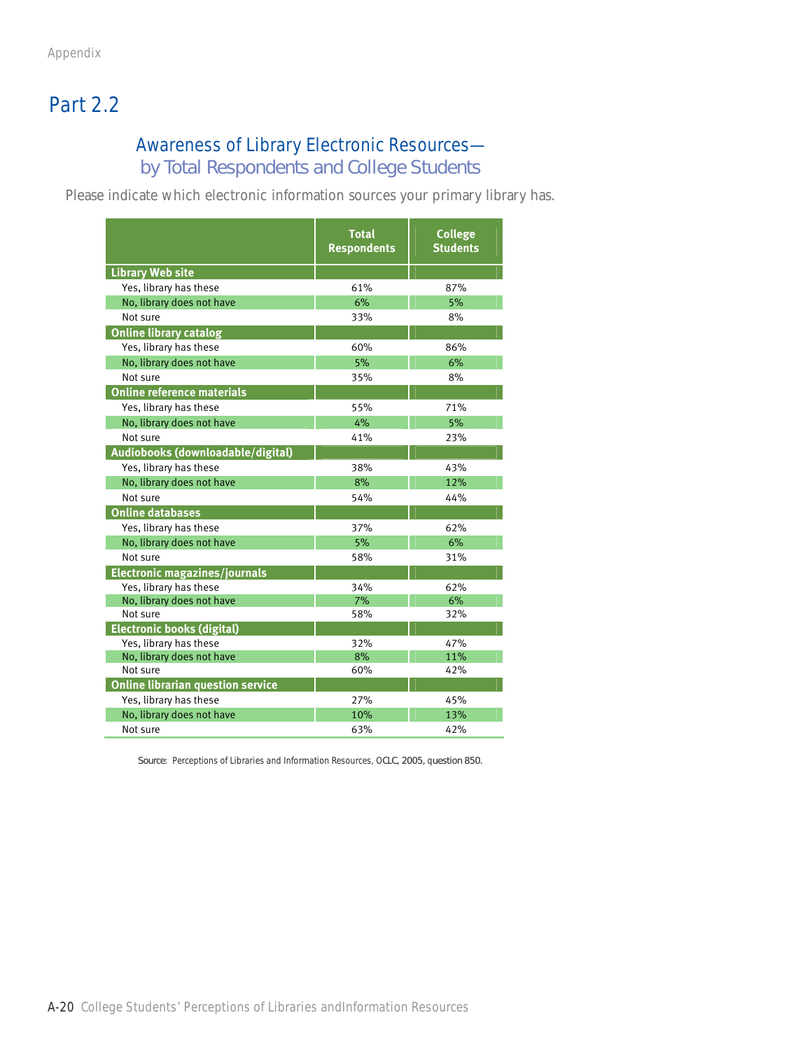# **Part 2.2**

### **Awareness of Library Electronic Resources—**

*by Total Respondents and College Students*

Please indicate which electronic information sources your primary library has.

|                                                     | <b>Total</b><br><b>Respondents</b> | <b>College</b><br><b>Students</b> |
|-----------------------------------------------------|------------------------------------|-----------------------------------|
| <b>Library Web site</b>                             |                                    |                                   |
| Yes, library has these                              | 61%                                | 87%                               |
| No, library does not have                           | 6%                                 | 5%                                |
| Not sure                                            | 33%                                | 8%                                |
| <b>Online library catalog</b>                       |                                    |                                   |
| Yes, library has these                              | 60%                                | 86%                               |
| No, library does not have                           | 5%                                 | 6%                                |
| Not sure                                            | 35%                                | 8%                                |
| <b>Online reference materials</b>                   |                                    |                                   |
| Yes, library has these                              | 55%                                | 71%                               |
| No, library does not have                           | 4%                                 | 5%                                |
| Not sure                                            | 41%                                | 23%                               |
| Audiobooks (downloadable/digital)                   |                                    |                                   |
| Yes, library has these                              | 38%                                | 43%                               |
| No, library does not have                           | 8%                                 | 12%                               |
| Not sure                                            | 54%                                | 44%                               |
| <b>Online databases</b>                             |                                    |                                   |
| Yes, library has these                              | 37%                                | 62%                               |
| No, library does not have                           | 5%                                 | 6%                                |
| Not sure                                            | 58%                                | 31%                               |
| <b>Electronic magazines/journals</b>                |                                    |                                   |
| Yes, library has these                              | 34%                                | 62%                               |
| No, library does not have                           | 7%                                 | 6%                                |
| Not sure                                            | 58%                                | 32%                               |
| <b>Electronic books (digital)</b>                   |                                    |                                   |
| Yes, library has these                              | 32%                                | 47%                               |
| No, library does not have                           | 8%                                 | 11%                               |
| Not sure                                            | 60%                                | 42%                               |
| <b>Online librarian question service</b>            | 27%                                | 45%                               |
| Yes, library has these<br>No, library does not have | 10%                                | 13%                               |
|                                                     |                                    | 42%                               |
| Not sure                                            | 63%                                |                                   |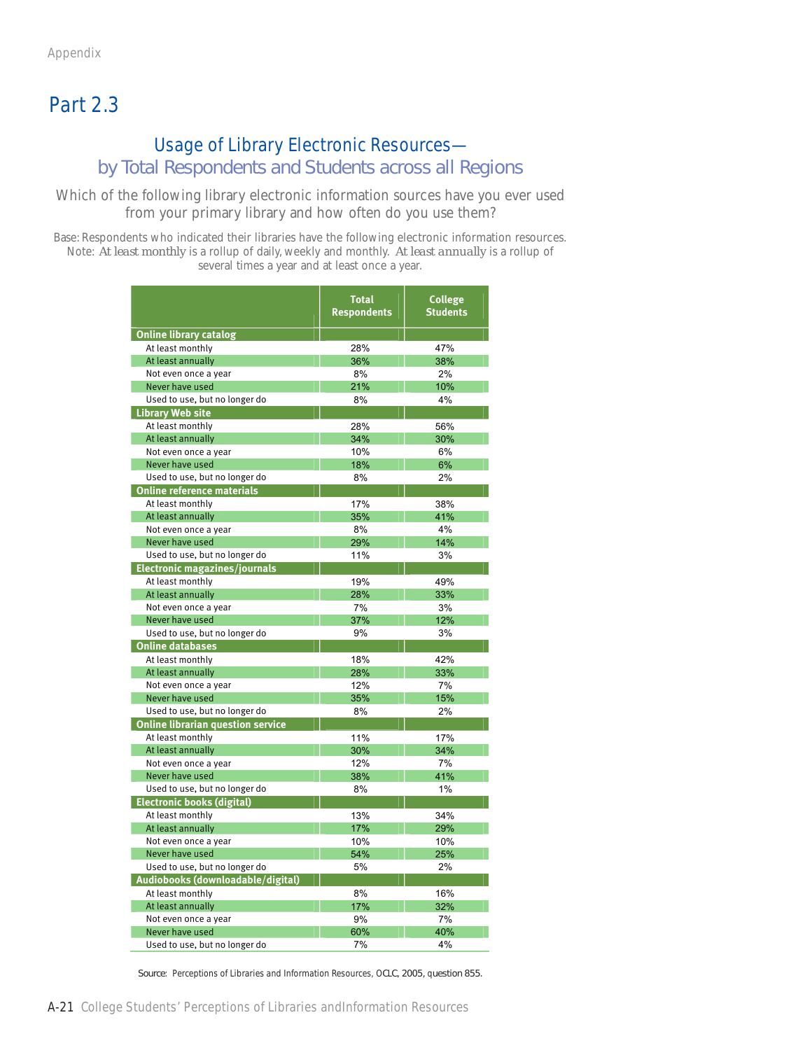# **Part 2.3**

#### **Usage of Library Electronic Resources—**

*by Total Respondents and Students across all Regions*

Which of the following library electronic information sources have you ever used from your primary library and how often do you use them?

Base: Respondents who indicated their libraries have the following electronic information resources. Note: *At least monthly* is a rollup of daily, weekly and monthly. *At least annually* is a rollup of several times a year and at least once a year.

|                                          | Total<br><b>Respondents</b> | College<br><b>Students</b> |
|------------------------------------------|-----------------------------|----------------------------|
| <b>Online library catalog</b>            |                             |                            |
| At least monthly                         | 28%                         | 47%                        |
| At least annually                        | 36%                         | 38%                        |
| Not even once a year                     | 8%                          | 2%                         |
| Never have used                          | 21%                         | 10%                        |
| Used to use, but no longer do            | 8%                          | 4%                         |
| <b>Library Web site</b>                  |                             |                            |
| At least monthly                         | 28%                         | 56%                        |
| At least annually                        | 34%                         | 30%                        |
| Not even once a year                     | 10%                         | 6%                         |
| Never have used                          | 18%                         | 6%                         |
| Used to use, but no longer do            | 8%                          | 2%                         |
| <b>Online reference materials</b>        |                             |                            |
| At least monthly                         | 17%                         | 38%                        |
| At least annually                        | 35%                         | 41%                        |
| Not even once a year                     | 8%                          | 4%                         |
| Never have used                          | 29%                         | 14%                        |
| Used to use, but no longer do            | 11%                         | 3%                         |
| <b>Electronic magazines/journals</b>     |                             |                            |
| At least monthly                         | 19%                         | 49%                        |
| At least annually                        | 28%                         | 33%                        |
| Not even once a year                     | 7%                          | 3%                         |
| Never have used                          | 37%                         | 12%                        |
| Used to use, but no longer do            | 9%                          | 3%                         |
| <b>Online databases</b>                  |                             |                            |
| At least monthly                         | 18%                         | 42%                        |
| At least annually                        | 28%                         | 33%                        |
| Not even once a year                     | 12%                         | 7%                         |
| Never have used                          | 35%                         | 15%                        |
| Used to use, but no longer do            | 8%                          | 2%                         |
| <b>Online librarian question service</b> |                             |                            |
| At least monthly                         | 11%                         | 17%                        |
| At least annually                        | 30%                         | 34%                        |
| Not even once a year                     | 12%                         | 7%                         |
| Never have used                          | 38%                         | 41%                        |
| Used to use, but no longer do            | 8%                          | 1%                         |
| <b>Electronic books (digital)</b>        |                             |                            |
| At least monthly                         | 13%                         | 34%                        |
| At least annually                        | 17%                         | 29%                        |
| Not even once a year                     | 10%                         | 10%                        |
| Never have used                          | 54%                         | 25%                        |
| Used to use, but no longer do            | 5%                          | 2%                         |
| Audiobooks (downloadable/digital)        |                             |                            |
| At least monthly                         | 8%                          | 16%                        |
| At least annually                        | 17%                         | 32%                        |
| Not even once a year                     | 9%                          | 7%                         |
| Never have used                          | 60%                         | 40%                        |
| Used to use, but no longer do            | 7%                          | 4%                         |